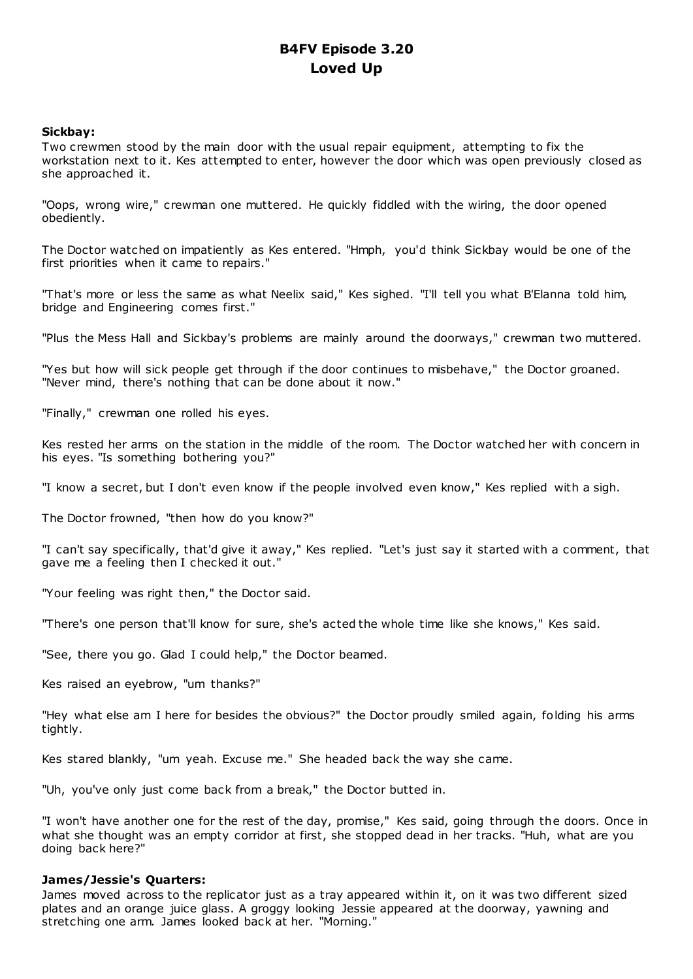# **B4FV Episode 3.20 Loved Up**

# **Sickbay:**

Two crewmen stood by the main door with the usual repair equipment, attempting to fix the workstation next to it. Kes attempted to enter, however the door which was open previously closed as she approached it.

"Oops, wrong wire," crewman one muttered. He quickly fiddled with the wiring, the door opened obediently.

The Doctor watched on impatiently as Kes entered. "Hmph, you'd think Sickbay would be one of the first priorities when it came to repairs."

"That's more or less the same as what Neelix said," Kes sighed. "I'll tell you what B'Elanna told him, bridge and Engineering comes first."

"Plus the Mess Hall and Sickbay's problems are mainly around the doorways," crewman two muttered.

"Yes but how will sick people get through if the door continues to misbehave," the Doctor groaned. "Never mind, there's nothing that can be done about it now."

"Finally," crewman one rolled his eyes.

Kes rested her arms on the station in the middle of the room. The Doctor watched her with concern in his eyes. "Is something bothering you?"

"I know a secret, but I don't even know if the people involved even know," Kes replied with a sigh.

The Doctor frowned, "then how do you know?"

"I can't say specifically, that'd give it away," Kes replied. "Let's just say it started with a comment, that gave me a feeling then I checked it out."

"Your feeling was right then," the Doctor said.

"There's one person that'll know for sure, she's acted the whole time like she knows," Kes said.

"See, there you go. Glad I could help," the Doctor beamed.

Kes raised an eyebrow, "um thanks?"

"Hey what else am I here for besides the obvious?" the Doctor proudly smiled again, folding his arms tightly.

Kes stared blankly, "um yeah. Excuse me." She headed back the way she came.

"Uh, you've only just come back from a break," the Doctor butted in.

"I won't have another one for the rest of the day, promise," Kes said, going through the doors. Once in what she thought was an empty corridor at first, she stopped dead in her tracks. "Huh, what are you doing back here?"

# **James/Jessie's Quarters:**

James moved across to the replicator just as a tray appeared within it, on it was two different sized plates and an orange juice glass. A groggy looking Jessie appeared at the doorway, yawning and stretching one arm. James looked back at her. "Morning."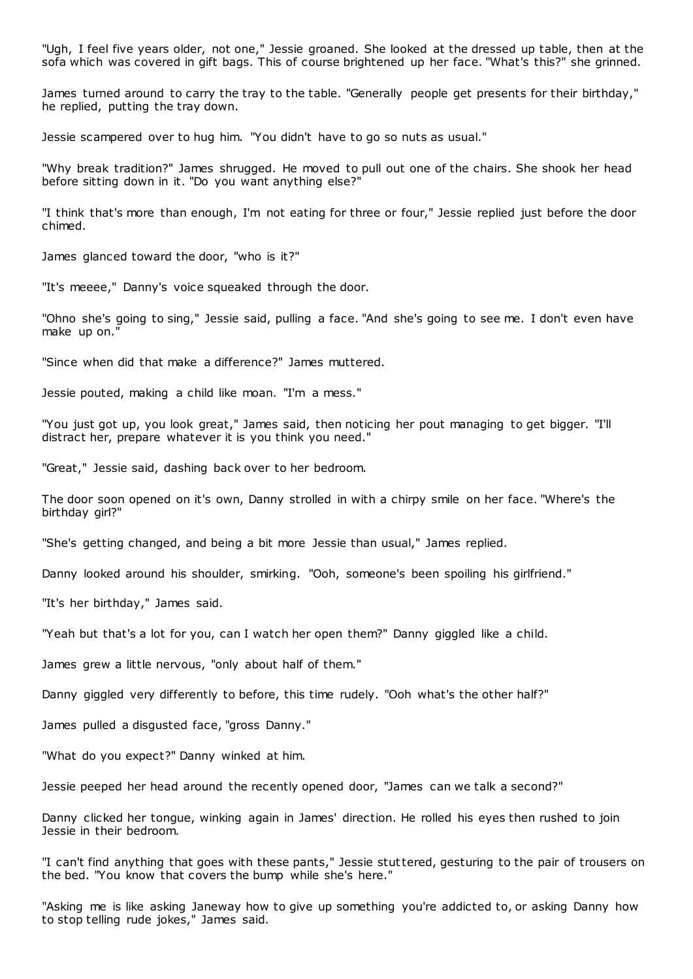"Ugh, I feel five years older, not one," Jessie groaned. She looked at the dressed up table, then at the sofa which was covered in gift bags. This of course brightened up her face. "What's this?" she grinned.

James turned around to carry the tray to the table. "Generally people get presents for their birthday," he replied, putting the tray down.

Jessie scampered over to hug him. "You didn't have to go so nuts as usual."

"Why break tradition?" James shrugged. He moved to pull out one of the chairs. She shook her head before sitting down in it. "Do you want anything else?"

"I think that's more than enough, I'm not eating for three or four," Jessie replied just before the door chimed.

James glanced toward the door, "who is it?"

"It's meeee," Danny's voice squeaked through the door.

"Ohno she's going to sing," Jessie said, pulling a face. "And she's going to see me. I don't even have make up on."

"Since when did that make a difference?" James muttered.

Jessie pouted, making a child like moan. "I'm a mess."

"You just got up, you look great," James said, then noticing her pout managing to get bigger. "I'll distract her, prepare whatever it is you think you need."

"Great," Jessie said, dashing back over to her bedroom.

The door soon opened on it's own, Danny strolled in with a chirpy smile on her face. "Where's the birthday girl?"

"She's getting changed, and being a bit more Jessie than usual," James replied.

Danny looked around his shoulder, smirking. "Ooh, someone's been spoiling his girlfriend."

"It's her birthday," James said.

"Yeah but that's a lot for you, can I watch her open them?" Danny giggled like a child.

James grew a little nervous, "only about half of them."

Danny giggled very differently to before, this time rudely. "Ooh what's the other half?"

James pulled a disgusted face, "gross Danny."

"What do you expect?" Danny winked at him.

Jessie peeped her head around the recently opened door, "James can we talk a second?"

Danny clicked her tongue, winking again in James' direction. He rolled his eyes then rushed to join Jessie in their bedroom.

"I can't find anything that goes with these pants," Jessie stuttered, gesturing to the pair of trousers on the bed. "You know that covers the bump while she's here."

"Asking me is like asking Janeway how to give up something you're addicted to, or asking Danny how to stop telling rude jokes," James said.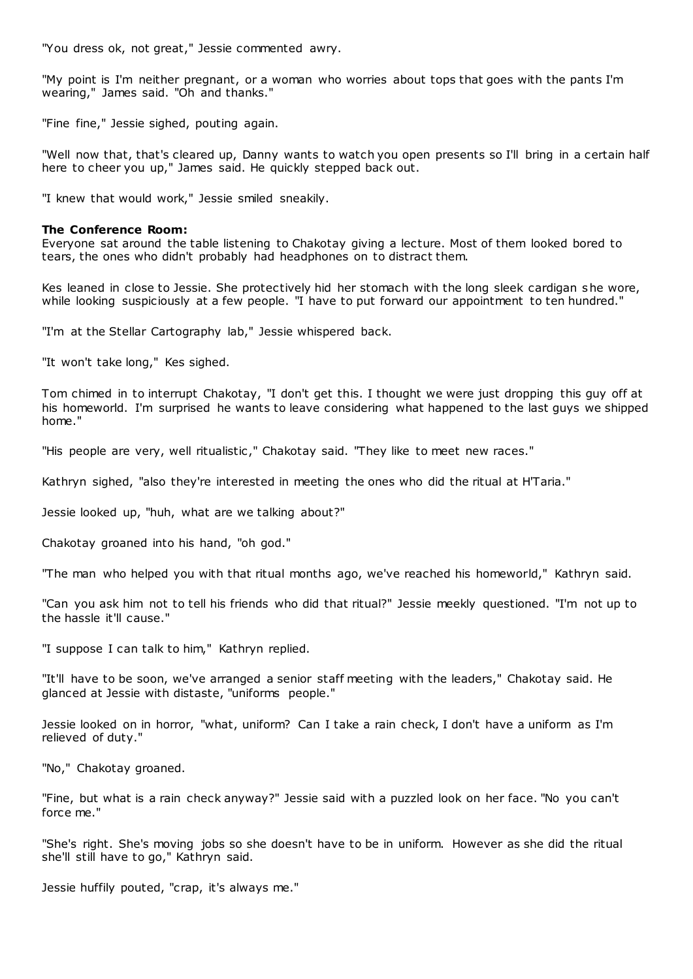"You dress ok, not great," Jessie commented awry.

"My point is I'm neither pregnant, or a woman who worries about tops that goes with the pants I'm wearing," James said. "Oh and thanks."

"Fine fine," Jessie sighed, pouting again.

"Well now that, that's cleared up, Danny wants to watch you open presents so I'll bring in a certain half here to cheer you up," James said. He quickly stepped back out.

"I knew that would work," Jessie smiled sneakily.

#### **The Conference Room:**

Everyone sat around the table listening to Chakotay giving a lecture. Most of them looked bored to tears, the ones who didn't probably had headphones on to distract them.

Kes leaned in close to Jessie. She protectively hid her stomach with the long sleek cardigan she wore, while looking suspiciously at a few people. "I have to put forward our appointment to ten hundred."

"I'm at the Stellar Cartography lab," Jessie whispered back.

"It won't take long," Kes sighed.

Tom chimed in to interrupt Chakotay, "I don't get this. I thought we were just dropping this guy off at his homeworld. I'm surprised he wants to leave considering what happened to the last guys we shipped home."

"His people are very, well ritualistic," Chakotay said. "They like to meet new races."

Kathryn sighed, "also they're interested in meeting the ones who did the ritual at H'Taria."

Jessie looked up, "huh, what are we talking about?"

Chakotay groaned into his hand, "oh god."

"The man who helped you with that ritual months ago, we've reached his homeworld," Kathryn said.

"Can you ask him not to tell his friends who did that ritual?" Jessie meekly questioned. "I'm not up to the hassle it'll cause."

"I suppose I can talk to him," Kathryn replied.

"It'll have to be soon, we've arranged a senior staff meeting with the leaders," Chakotay said. He glanced at Jessie with distaste, "uniforms people."

Jessie looked on in horror, "what, uniform? Can I take a rain check, I don't have a uniform as I'm relieved of duty."

"No," Chakotay groaned.

"Fine, but what is a rain check anyway?" Jessie said with a puzzled look on her face. "No you can't force me."

"She's right. She's moving jobs so she doesn't have to be in uniform. However as she did the ritual she'll still have to go," Kathryn said.

Jessie huffily pouted, "crap, it's always me."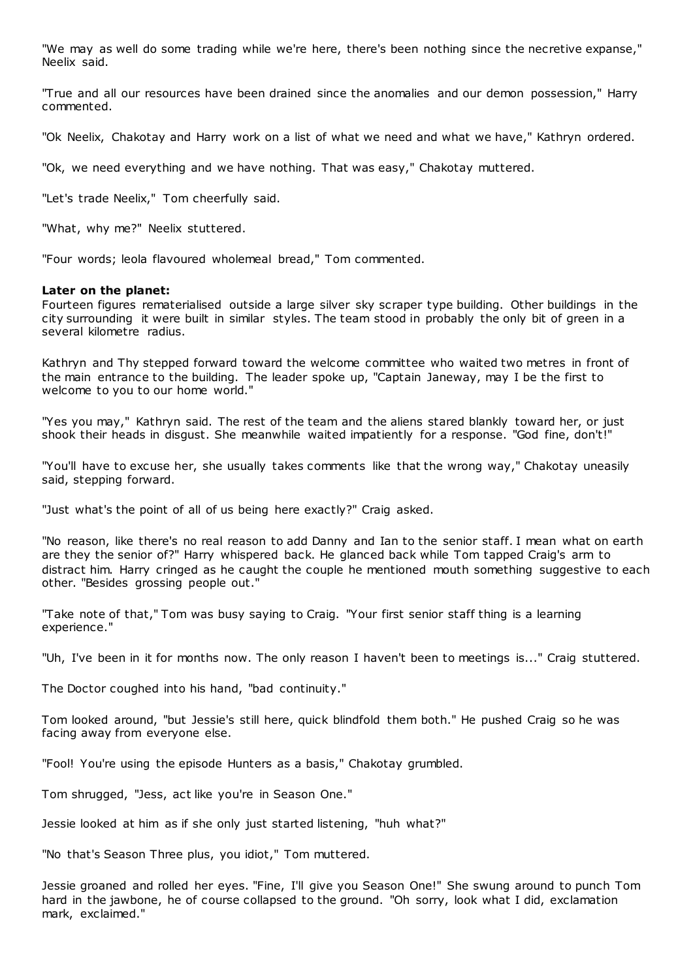"We may as well do some trading while we're here, there's been nothing since the necretive expanse," Neelix said.

"True and all our resources have been drained since the anomalies and our demon possession," Harry commented.

"Ok Neelix, Chakotay and Harry work on a list of what we need and what we have," Kathryn ordered.

"Ok, we need everything and we have nothing. That was easy," Chakotay muttered.

"Let's trade Neelix," Tom cheerfully said.

"What, why me?" Neelix stuttered.

"Four words; leola flavoured wholemeal bread," Tom commented.

#### **Later on the planet:**

Fourteen figures rematerialised outside a large silver sky scraper type building. Other buildings in the city surrounding it were built in similar styles. The team stood in probably the only bit of green in a several kilometre radius.

Kathryn and Thy stepped forward toward the welcome committee who waited two metres in front of the main entrance to the building. The leader spoke up, "Captain Janeway, may I be the first to welcome to you to our home world."

"Yes you may," Kathryn said. The rest of the team and the aliens stared blankly toward her, or just shook their heads in disgust. She meanwhile waited impatiently for a response. "God fine, don't!"

"You'll have to excuse her, she usually takes comments like that the wrong way," Chakotay uneasily said, stepping forward.

"Just what's the point of all of us being here exactly?" Craig asked.

"No reason, like there's no real reason to add Danny and Ian to the senior staff. I mean what on earth are they the senior of?" Harry whispered back. He glanced back while Tom tapped Craig's arm to distract him. Harry cringed as he caught the couple he mentioned mouth something suggestive to each other. "Besides grossing people out."

"Take note of that," Tom was busy saying to Craig. "Your first senior staff thing is a learning experience."

"Uh, I've been in it for months now. The only reason I haven't been to meetings is..." Craig stuttered.

The Doctor coughed into his hand, "bad continuity."

Tom looked around, "but Jessie's still here, quick blindfold them both." He pushed Craig so he was facing away from everyone else.

"Fool! You're using the episode Hunters as a basis," Chakotay grumbled.

Tom shrugged, "Jess, act like you're in Season One."

Jessie looked at him as if she only just started listening, "huh what?"

"No that's Season Three plus, you idiot," Tom muttered.

Jessie groaned and rolled her eyes. "Fine, I'll give you Season One!" She swung around to punch Tom hard in the jawbone, he of course collapsed to the ground. "Oh sorry, look what I did, exclamation mark, exclaimed."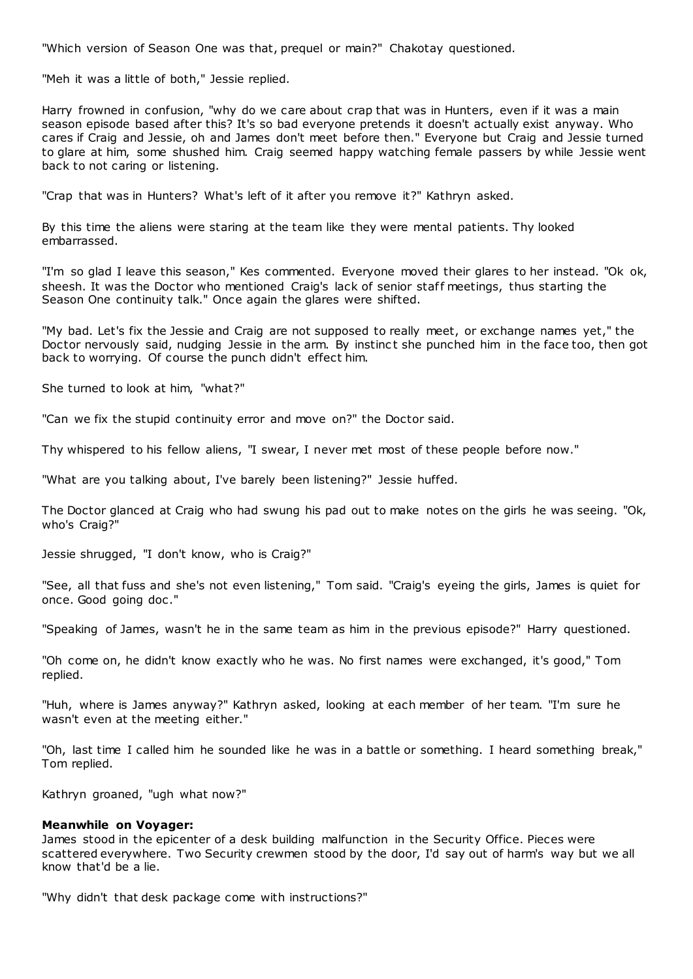"Which version of Season One was that, prequel or main?" Chakotay questioned.

"Meh it was a little of both," Jessie replied.

Harry frowned in confusion, "why do we care about crap that was in Hunters, even if it was a main season episode based after this? It's so bad everyone pretends it doesn't actually exist anyway. Who cares if Craig and Jessie, oh and James don't meet before then." Everyone but Craig and Jessie turned to glare at him, some shushed him. Craig seemed happy watching female passers by while Jessie went back to not caring or listening.

"Crap that was in Hunters? What's left of it after you remove it?" Kathryn asked.

By this time the aliens were staring at the team like they were mental patients. Thy looked embarrassed.

"I'm so glad I leave this season," Kes commented. Everyone moved their glares to her instead. "Ok ok, sheesh. It was the Doctor who mentioned Craig's lack of senior staff meetings, thus starting the Season One continuity talk." Once again the glares were shifted.

"My bad. Let's fix the Jessie and Craig are not supposed to really meet, or exchange names yet," the Doctor nervously said, nudging Jessie in the arm. By instinct she punched him in the face too, then got back to worrying. Of course the punch didn't effect him.

She turned to look at him, "what?"

"Can we fix the stupid continuity error and move on?" the Doctor said.

Thy whispered to his fellow aliens, "I swear, I never met most of these people before now."

"What are you talking about, I've barely been listening?" Jessie huffed.

The Doctor glanced at Craig who had swung his pad out to make notes on the girls he was seeing. "Ok, who's Craig?"

Jessie shrugged, "I don't know, who is Craig?"

"See, all that fuss and she's not even listening," Tom said. "Craig's eyeing the girls, James is quiet for once. Good going doc ."

"Speaking of James, wasn't he in the same team as him in the previous episode?" Harry questioned.

"Oh come on, he didn't know exactly who he was. No first names were exchanged, it's good," Tom replied.

"Huh, where is James anyway?" Kathryn asked, looking at each member of her team. "I'm sure he wasn't even at the meeting either."

"Oh, last time I called him he sounded like he was in a battle or something. I heard something break," Tom replied.

Kathryn groaned, "ugh what now?"

# **Meanwhile on Voyager:**

James stood in the epicenter of a desk building malfunction in the Security Office. Pieces were scattered everywhere. Two Security crewmen stood by the door, I'd say out of harm's way but we all know that'd be a lie.

"Why didn't that desk package come with instructions?"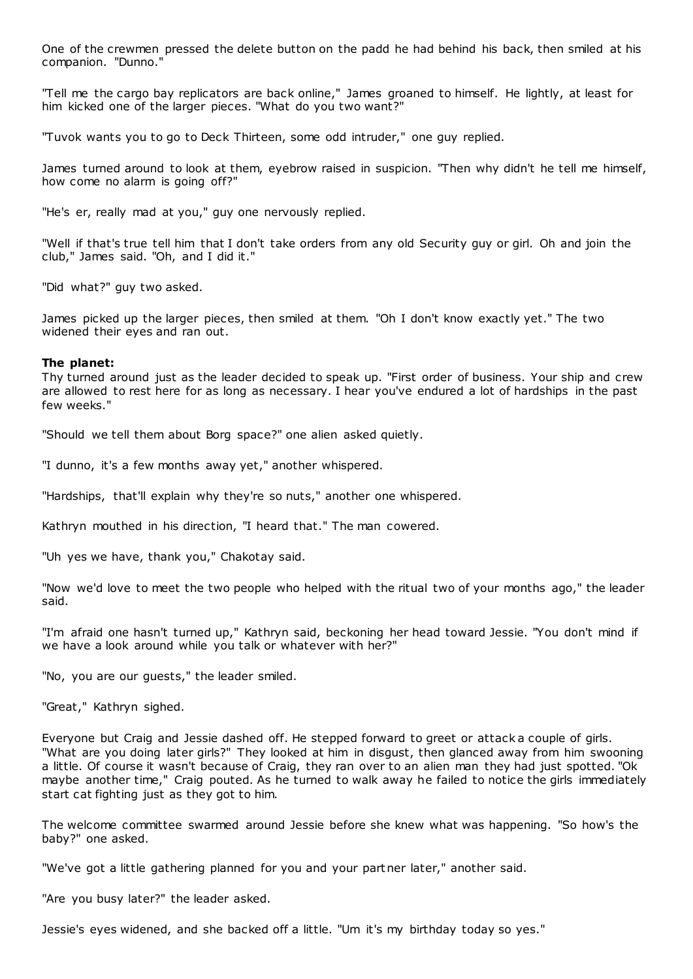One of the crewmen pressed the delete button on the padd he had behind his back, then smiled at his companion. "Dunno."

"Tell me the cargo bay replicators are back online," James groaned to himself. He lightly, at least for him kicked one of the larger pieces. "What do you two want?"

"Tuvok wants you to go to Deck Thirteen, some odd intruder," one guy replied.

James turned around to look at them, eyebrow raised in suspicion. "Then why didn't he tell me himself, how come no alarm is going off?"

"He's er, really mad at you," guy one nervously replied.

"Well if that's true tell him that I don't take orders from any old Security guy or girl. Oh and join the club," James said. "Oh, and I did it."

"Did what?" guy two asked.

James picked up the larger pieces, then smiled at them. "Oh I don't know exactly yet." The two widened their eyes and ran out.

#### **The planet:**

Thy turned around just as the leader decided to speak up. "First order of business. Your ship and crew are allowed to rest here for as long as necessary. I hear you've endured a lot of hardships in the past few weeks."

"Should we tell them about Borg space?" one alien asked quietly.

"I dunno, it's a few months away yet," another whispered.

"Hardships, that'll explain why they're so nuts," another one whispered.

Kathryn mouthed in his direction, "I heard that." The man cowered.

"Uh yes we have, thank you," Chakotay said.

"Now we'd love to meet the two people who helped with the ritual two of your months ago," the leader said.

"I'm afraid one hasn't turned up," Kathryn said, beckoning her head toward Jessie. "You don't mind if we have a look around while you talk or whatever with her?"

"No, you are our guests," the leader smiled.

"Great," Kathryn sighed.

Everyone but Craig and Jessie dashed off. He stepped forward to greet or attack a couple of girls. "What are you doing later girls?" They looked at him in disgust, then glanced away from him swooning a little. Of course it wasn't because of Craig, they ran over to an alien man they had just spotted. "Ok maybe another time," Craig pouted. As he turned to walk away he failed to notice the girls immediately start cat fighting just as they got to him.

The welcome committee swarmed around Jessie before she knew what was happening. "So how's the baby?" one asked.

"We've got a little gathering planned for you and your partner later," another said.

"Are you busy later?" the leader asked.

Jessie's eyes widened, and she backed off a little. "Um it's my birthday today so yes."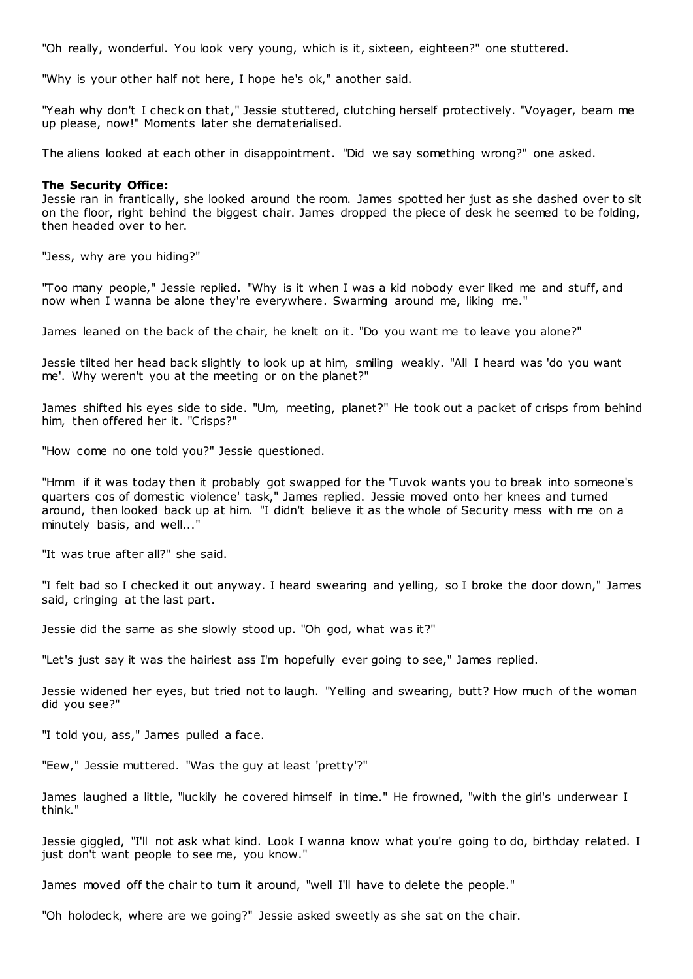"Oh really, wonderful. You look very young, which is it, sixteen, eighteen?" one stuttered.

"Why is your other half not here, I hope he's ok," another said.

"Yeah why don't I check on that," Jessie stuttered, clutching herself protectively. "Voyager, beam me up please, now!" Moments later she dematerialised.

The aliens looked at each other in disappointment. "Did we say something wrong?" one asked.

#### **The Security Office:**

Jessie ran in frantically, she looked around the room. James spotted her just as she dashed over to sit on the floor, right behind the biggest chair. James dropped the piece of desk he seemed to be folding, then headed over to her.

"Jess, why are you hiding?"

"Too many people," Jessie replied. "Why is it when I was a kid nobody ever liked me and stuff, and now when I wanna be alone they're everywhere. Swarming around me, liking me."

James leaned on the back of the chair, he knelt on it. "Do you want me to leave you alone?"

Jessie tilted her head back slightly to look up at him, smiling weakly. "All I heard was 'do you want me'. Why weren't you at the meeting or on the planet?"

James shifted his eyes side to side. "Um, meeting, planet?" He took out a packet of crisps from behind him, then offered her it. "Crisps?"

"How come no one told you?" Jessie questioned.

"Hmm if it was today then it probably got swapped for the 'Tuvok wants you to break into someone's quarters cos of domestic violence' task," James replied. Jessie moved onto her knees and turned around, then looked back up at him. "I didn't believe it as the whole of Security mess with me on a minutely basis, and well..."

"It was true after all?" she said.

"I felt bad so I checked it out anyway. I heard swearing and yelling, so I broke the door down," James said, cringing at the last part.

Jessie did the same as she slowly stood up. "Oh god, what was it?"

"Let's just say it was the hairiest ass I'm hopefully ever going to see," James replied.

Jessie widened her eyes, but tried not to laugh. "Yelling and swearing, butt? How much of the woman did you see?"

"I told you, ass," James pulled a face.

"Eew," Jessie muttered. "Was the guy at least 'pretty'?"

James laughed a little, "luckily he covered himself in time." He frowned, "with the girl's underwear I think."

Jessie giggled, "I'll not ask what kind. Look I wanna know what you're going to do, birthday related. I just don't want people to see me, you know."

James moved off the chair to turn it around, "well I'll have to delete the people."

"Oh holodeck, where are we going?" Jessie asked sweetly as she sat on the chair.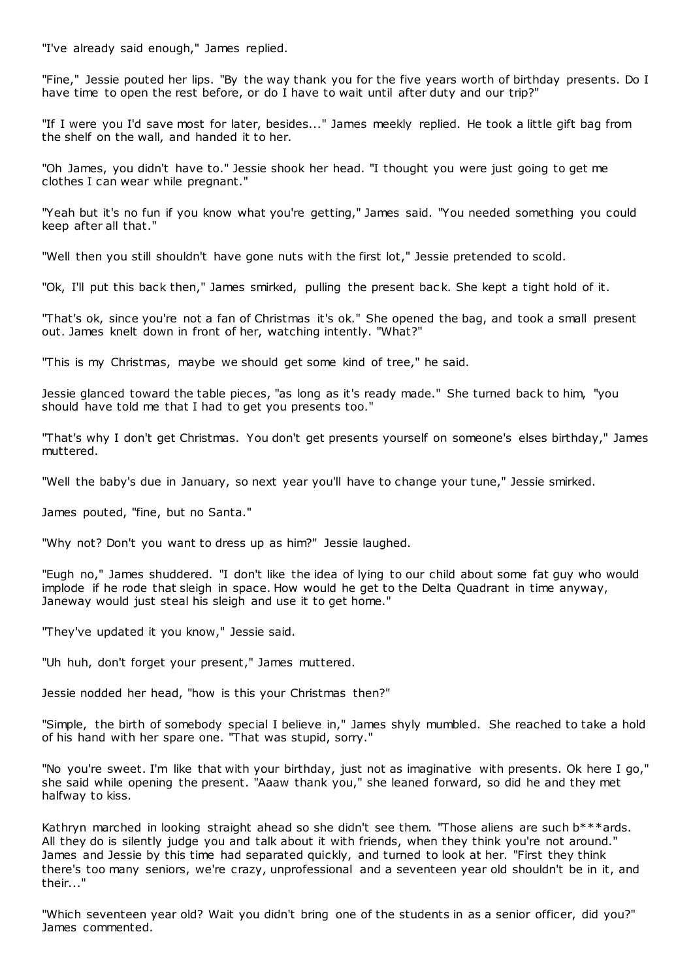"I've already said enough," James replied.

"Fine," Jessie pouted her lips. "By the way thank you for the five years worth of birthday presents. Do I have time to open the rest before, or do I have to wait until after duty and our trip?"

"If I were you I'd save most for later, besides..." James meekly replied. He took a little gift bag from the shelf on the wall, and handed it to her.

"Oh James, you didn't have to." Jessie shook her head. "I thought you were just going to get me clothes I can wear while pregnant."

"Yeah but it's no fun if you know what you're getting," James said. "You needed something you could keep after all that."

"Well then you still shouldn't have gone nuts with the first lot," Jessie pretended to scold.

"Ok, I'll put this back then," James smirked, pulling the present bac k. She kept a tight hold of it.

"That's ok, since you're not a fan of Christmas it's ok." She opened the bag, and took a small present out. James knelt down in front of her, watching intently. "What?"

"This is my Christmas, maybe we should get some kind of tree," he said.

Jessie glanced toward the table pieces, "as long as it's ready made." She turned back to him, "you should have told me that I had to get you presents too."

"That's why I don't get Christmas. You don't get presents yourself on someone's elses birthday," James muttered.

"Well the baby's due in January, so next year you'll have to change your tune," Jessie smirked.

James pouted, "fine, but no Santa."

"Why not? Don't you want to dress up as him?" Jessie laughed.

"Eugh no," James shuddered. "I don't like the idea of lying to our child about some fat guy who would implode if he rode that sleigh in space. How would he get to the Delta Quadrant in time anyway, Janeway would just steal his sleigh and use it to get home."

"They've updated it you know," Jessie said.

"Uh huh, don't forget your present," James muttered.

Jessie nodded her head, "how is this your Christmas then?"

"Simple, the birth of somebody special I believe in," James shyly mumbled. She reached to take a hold of his hand with her spare one. "That was stupid, sorry."

"No you're sweet. I'm like that with your birthday, just not as imaginative with presents. Ok here I go," she said while opening the present. "Aaaw thank you," she leaned forward, so did he and they met halfway to kiss.

Kathryn marched in looking straight ahead so she didn't see them. "Those aliens are such b\*\*\*ards. All they do is silently judge you and talk about it with friends, when they think you're not around." James and Jessie by this time had separated quickly, and turned to look at her. "First they think there's too many seniors, we're crazy, unprofessional and a seventeen year old shouldn't be in it, and their..."

"Which seventeen year old? Wait you didn't bring one of the students in as a senior officer, did you?" James commented.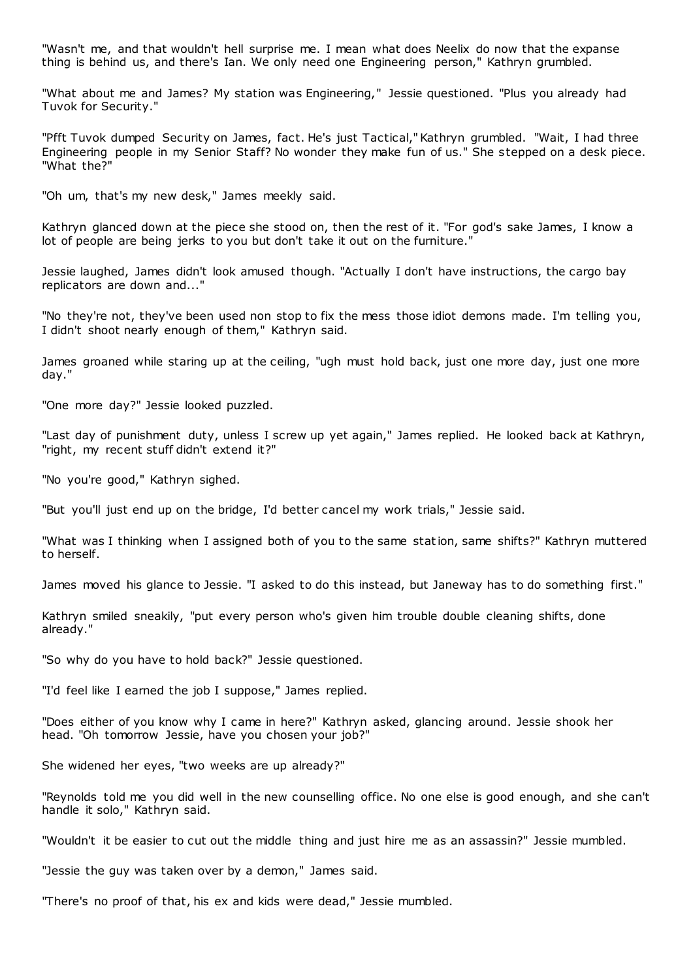"Wasn't me, and that wouldn't hell surprise me. I mean what does Neelix do now that the expanse thing is behind us, and there's Ian. We only need one Engineering person," Kathryn grumbled.

"What about me and James? My station was Engineering," Jessie questioned. "Plus you already had Tuvok for Security."

"Pfft Tuvok dumped Security on James, fact. He's just Tactical," Kathryn grumbled. "Wait, I had three Engineering people in my Senior Staff? No wonder they make fun of us." She stepped on a desk piece. "What the?"

"Oh um, that's my new desk," James meekly said.

Kathryn glanced down at the piece she stood on, then the rest of it. "For god's sake James, I know a lot of people are being jerks to you but don't take it out on the furniture."

Jessie laughed, James didn't look amused though. "Actually I don't have instructions, the cargo bay replicators are down and..."

"No they're not, they've been used non stop to fix the mess those idiot demons made. I'm telling you, I didn't shoot nearly enough of them," Kathryn said.

James groaned while staring up at the ceiling, "ugh must hold back, just one more day, just one more day."

"One more day?" Jessie looked puzzled.

"Last day of punishment duty, unless I screw up yet again," James replied. He looked back at Kathryn, "right, my recent stuff didn't extend it?"

"No you're good," Kathryn sighed.

"But you'll just end up on the bridge, I'd better cancel my work trials," Jessie said.

"What was I thinking when I assigned both of you to the same station, same shifts?" Kathryn muttered to herself.

James moved his glance to Jessie. "I asked to do this instead, but Janeway has to do something first."

Kathryn smiled sneakily, "put every person who's given him trouble double cleaning shifts, done already."

"So why do you have to hold back?" Jessie questioned.

"I'd feel like I earned the job I suppose," James replied.

"Does either of you know why I came in here?" Kathryn asked, glancing around. Jessie shook her head. "Oh tomorrow Jessie, have you chosen your job?"

She widened her eyes, "two weeks are up already?"

"Reynolds told me you did well in the new counselling office. No one else is good enough, and she can't handle it solo," Kathryn said.

"Wouldn't it be easier to cut out the middle thing and just hire me as an assassin?" Jessie mumbled.

"Jessie the guy was taken over by a demon," James said.

"There's no proof of that, his ex and kids were dead," Jessie mumbled.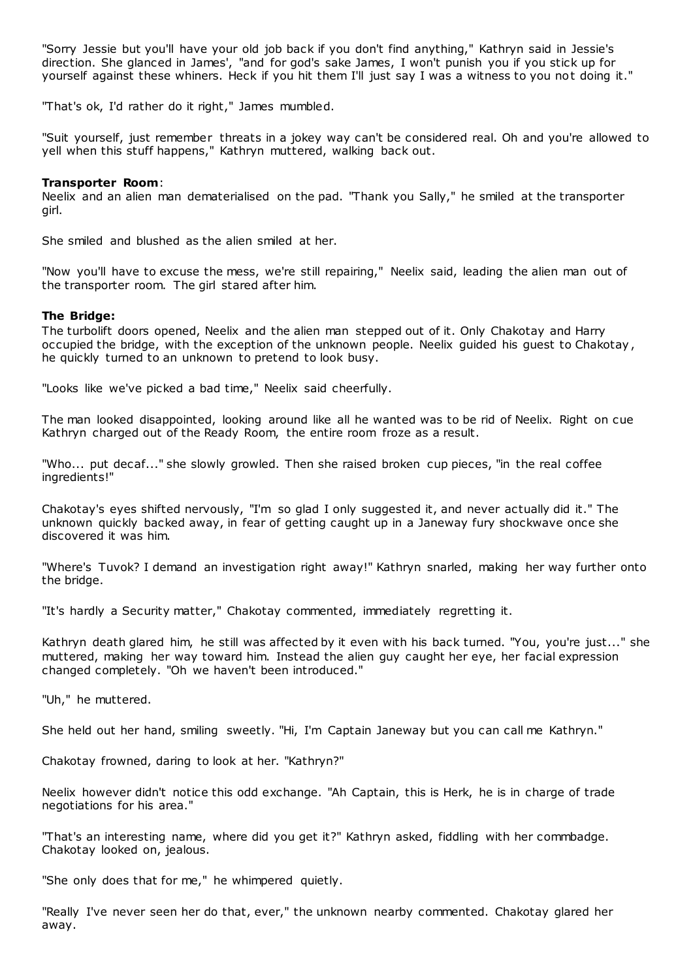"Sorry Jessie but you'll have your old job back if you don't find anything," Kathryn said in Jessie's direction. She glanced in James', "and for god's sake James, I won't punish you if you stick up for yourself against these whiners. Heck if you hit them I'll just say I was a witness to you not doing it."

"That's ok, I'd rather do it right," James mumbled.

"Suit yourself, just remember threats in a jokey way can't be considered real. Oh and you're allowed to yell when this stuff happens," Kathryn muttered, walking back out.

# **Transporter Room**:

Neelix and an alien man dematerialised on the pad. "Thank you Sally," he smiled at the transporter girl.

She smiled and blushed as the alien smiled at her.

"Now you'll have to excuse the mess, we're still repairing," Neelix said, leading the alien man out of the transporter room. The girl stared after him.

# **The Bridge:**

The turbolift doors opened, Neelix and the alien man stepped out of it. Only Chakotay and Harry occupied the bridge, with the exception of the unknown people. Neelix guided his guest to Chakotay , he quickly turned to an unknown to pretend to look busy.

"Looks like we've picked a bad time," Neelix said cheerfully.

The man looked disappointed, looking around like all he wanted was to be rid of Neelix. Right on cue Kathryn charged out of the Ready Room, the entire room froze as a result.

"Who... put decaf..." she slowly growled. Then she raised broken cup pieces, "in the real coffee ingredients!"

Chakotay's eyes shifted nervously, "I'm so glad I only suggested it, and never actually did it." The unknown quickly backed away, in fear of getting caught up in a Janeway fury shockwave once she discovered it was him.

"Where's Tuvok? I demand an investigation right away!" Kathryn snarled, making her way further onto the bridge.

"It's hardly a Security matter," Chakotay commented, immediately regretting it.

Kathryn death glared him, he still was affected by it even with his back turned. "You, you're just..." she muttered, making her way toward him. Instead the alien guy caught her eye, her facial expression changed completely. "Oh we haven't been introduced."

"Uh," he muttered.

She held out her hand, smiling sweetly. "Hi, I'm Captain Janeway but you can call me Kathryn."

Chakotay frowned, daring to look at her. "Kathryn?"

Neelix however didn't notice this odd exchange. "Ah Captain, this is Herk, he is in charge of trade negotiations for his area."

"That's an interesting name, where did you get it?" Kathryn asked, fiddling with her commbadge. Chakotay looked on, jealous.

"She only does that for me," he whimpered quietly.

"Really I've never seen her do that, ever," the unknown nearby commented. Chakotay glared her away.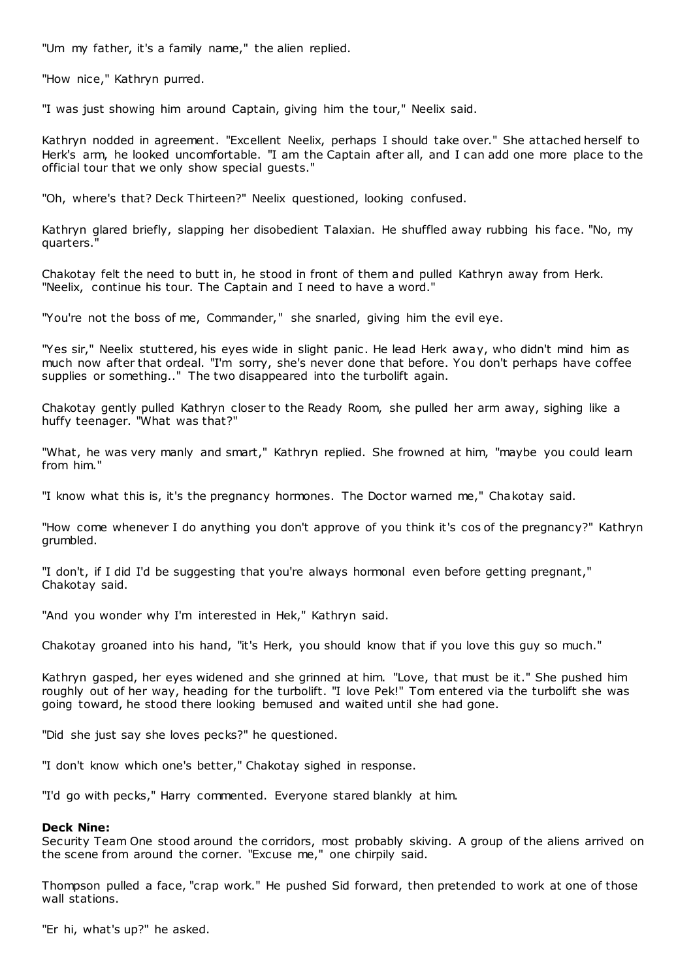"Um my father, it's a family name," the alien replied.

"How nice," Kathryn purred.

"I was just showing him around Captain, giving him the tour," Neelix said.

Kathryn nodded in agreement. "Excellent Neelix, perhaps I should take over." She attached herself to Herk's arm, he looked uncomfortable. "I am the Captain after all, and I can add one more place to the official tour that we only show special guests."

"Oh, where's that? Deck Thirteen?" Neelix questioned, looking confused.

Kathryn glared briefly, slapping her disobedient Talaxian. He shuffled away rubbing his face. "No, my quarters."

Chakotay felt the need to butt in, he stood in front of them and pulled Kathryn away from Herk. "Neelix, continue his tour. The Captain and I need to have a word."

"You're not the boss of me, Commander," she snarled, giving him the evil eye.

"Yes sir," Neelix stuttered, his eyes wide in slight panic . He lead Herk away, who didn't mind him as much now after that ordeal. "I'm sorry, she's never done that before. You don't perhaps have coffee supplies or something.." The two disappeared into the turbolift again.

Chakotay gently pulled Kathryn closer to the Ready Room, she pulled her arm away, sighing like a huffy teenager. "What was that?"

"What, he was very manly and smart," Kathryn replied. She frowned at him, "maybe you could learn from him."

"I know what this is, it's the pregnancy hormones. The Doctor warned me," Chakotay said.

"How come whenever I do anything you don't approve of you think it's cos of the pregnancy?" Kathryn grumbled.

"I don't, if I did I'd be suggesting that you're always hormonal even before getting pregnant," Chakotay said.

"And you wonder why I'm interested in Hek," Kathryn said.

Chakotay groaned into his hand, "it's Herk, you should know that if you love this guy so much."

Kathryn gasped, her eyes widened and she grinned at him. "Love, that must be it." She pushed him roughly out of her way, heading for the turbolift. "I love Pek!" Tom entered via the turbolift she was going toward, he stood there looking bemused and waited until she had gone.

"Did she just say she loves pecks?" he questioned.

"I don't know which one's better," Chakotay sighed in response.

"I'd go with pecks," Harry commented. Everyone stared blankly at him.

# **Deck Nine:**

Security Team One stood around the corridors, most probably skiving. A group of the aliens arrived on the scene from around the corner. "Excuse me," one chirpily said.

Thompson pulled a face, "crap work." He pushed Sid forward, then pretended to work at one of those wall stations.

"Er hi, what's up?" he asked.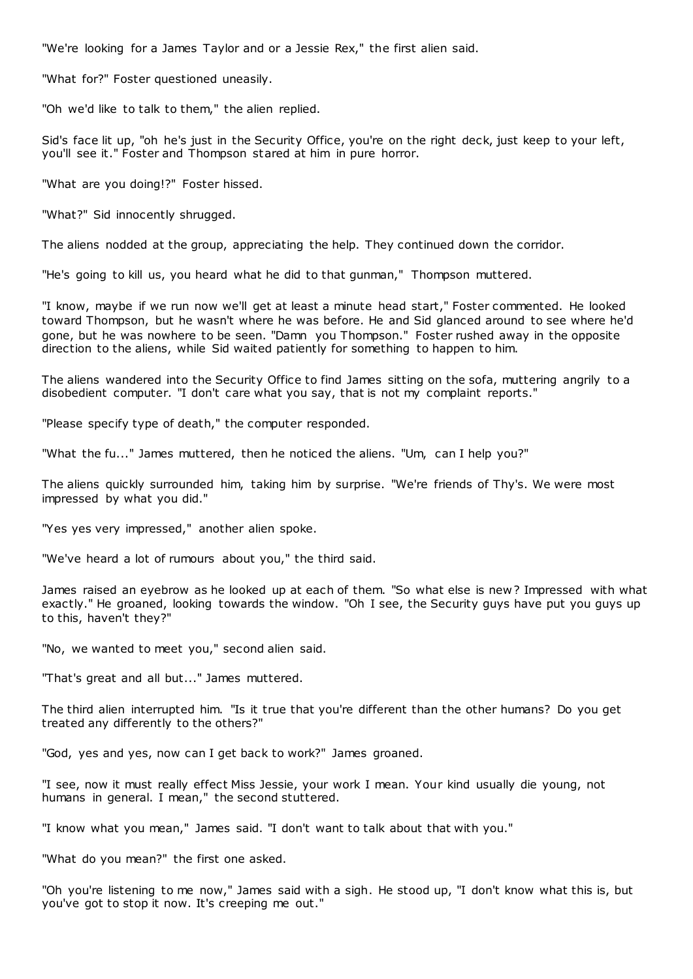"We're looking for a James Taylor and or a Jessie Rex," the first alien said.

"What for?" Foster questioned uneasily.

"Oh we'd like to talk to them," the alien replied.

Sid's face lit up, "oh he's just in the Security Office, you're on the right deck, just keep to your left, you'll see it." Foster and Thompson stared at him in pure horror.

"What are you doing!?" Foster hissed.

"What?" Sid innocently shrugged.

The aliens nodded at the group, appreciating the help. They continued down the corridor.

"He's going to kill us, you heard what he did to that gunman," Thompson muttered.

"I know, maybe if we run now we'll get at least a minute head start," Foster commented. He looked toward Thompson, but he wasn't where he was before. He and Sid glanced around to see where he'd gone, but he was nowhere to be seen. "Damn you Thompson." Foster rushed away in the opposite direction to the aliens, while Sid waited patiently for something to happen to him.

The aliens wandered into the Security Office to find James sitting on the sofa, muttering angrily to a disobedient computer. "I don't care what you say, that is not my complaint reports."

"Please specify type of death," the computer responded.

"What the fu..." James muttered, then he noticed the aliens. "Um, can I help you?"

The aliens quickly surrounded him, taking him by surprise. "We're friends of Thy's. We were most impressed by what you did."

"Yes yes very impressed," another alien spoke.

"We've heard a lot of rumours about you," the third said.

James raised an eyebrow as he looked up at each of them. "So what else is new ? Impressed with what exactly." He groaned, looking towards the window. "Oh I see, the Security guys have put you guys up to this, haven't they?"

"No, we wanted to meet you," second alien said.

"That's great and all but..." James muttered.

The third alien interrupted him. "Is it true that you're different than the other humans? Do you get treated any differently to the others?"

"God, yes and yes, now can I get back to work?" James groaned.

"I see, now it must really effect Miss Jessie, your work I mean. Your kind usually die young, not humans in general. I mean," the second stuttered.

"I know what you mean," James said. "I don't want to talk about that with you."

"What do you mean?" the first one asked.

"Oh you're listening to me now," James said with a sigh. He stood up, "I don't know what this is, but you've got to stop it now. It's creeping me out."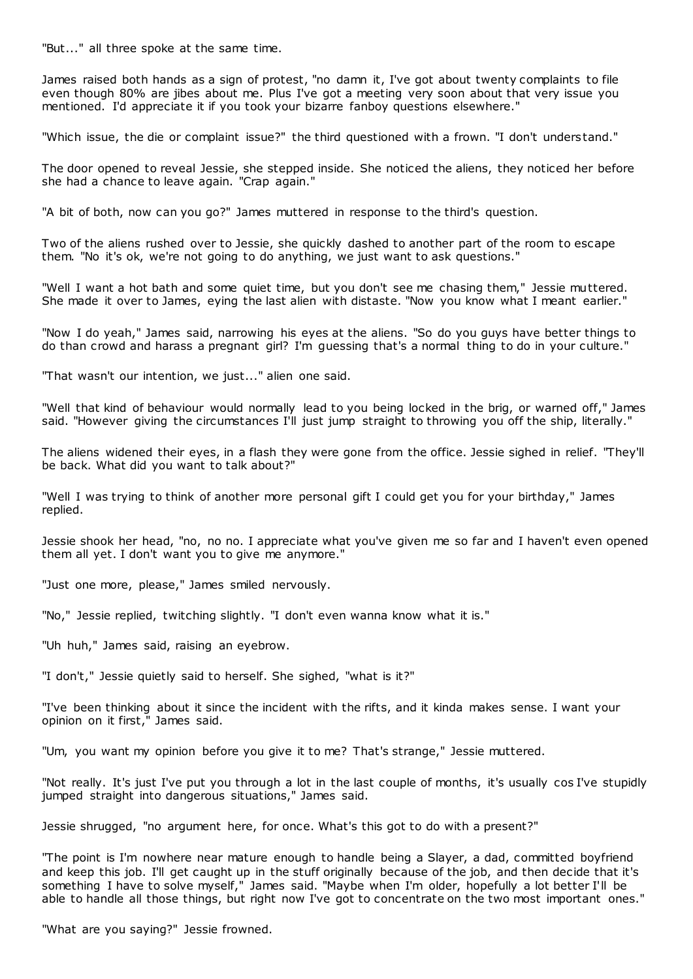"But..." all three spoke at the same time.

James raised both hands as a sign of protest, "no damn it, I've got about twenty complaints to file even though 80% are jibes about me. Plus I've got a meeting very soon about that very issue you mentioned. I'd appreciate it if you took your bizarre fanboy questions elsewhere."

"Which issue, the die or complaint issue?" the third questioned with a frown. "I don't understand."

The door opened to reveal Jessie, she stepped inside. She noticed the aliens, they noticed her before she had a chance to leave again. "Crap again."

"A bit of both, now can you go?" James muttered in response to the third's question.

Two of the aliens rushed over to Jessie, she quickly dashed to another part of the room to escape them. "No it's ok, we're not going to do anything, we just want to ask questions."

"Well I want a hot bath and some quiet time, but you don't see me chasing them," Jessie muttered. She made it over to James, eying the last alien with distaste. "Now you know what I meant earlier."

"Now I do yeah," James said, narrowing his eyes at the aliens. "So do you guys have better things to do than crowd and harass a pregnant girl? I'm guessing that's a normal thing to do in your culture."

"That wasn't our intention, we just..." alien one said.

"Well that kind of behaviour would normally lead to you being locked in the brig, or warned off," James said. "However giving the circumstances I'll just jump straight to throwing you off the ship, literally."

The aliens widened their eyes, in a flash they were gone from the office. Jessie sighed in relief. "They'll be back. What did you want to talk about?"

"Well I was trying to think of another more personal gift I could get you for your birthday," James replied.

Jessie shook her head, "no, no no. I appreciate what you've given me so far and I haven't even opened them all yet. I don't want you to give me anymore."

"Just one more, please," James smiled nervously.

"No," Jessie replied, twitching slightly. "I don't even wanna know what it is."

"Uh huh," James said, raising an eyebrow.

"I don't," Jessie quietly said to herself. She sighed, "what is it?"

"I've been thinking about it since the incident with the rifts, and it kinda makes sense. I want your opinion on it first," James said.

"Um, you want my opinion before you give it to me? That's strange," Jessie muttered.

"Not really. It's just I've put you through a lot in the last couple of months, it's usually cos I've stupidly jumped straight into dangerous situations," James said.

Jessie shrugged, "no argument here, for once. What's this got to do with a present?"

"The point is I'm nowhere near mature enough to handle being a Slayer, a dad, committed boyfriend and keep this job. I'll get caught up in the stuff originally because of the job, and then decide that it's something I have to solve myself," James said. "Maybe when I'm older, hopefully a lot better I'll be able to handle all those things, but right now I've got to concentrate on the two most important ones."

"What are you saying?" Jessie frowned.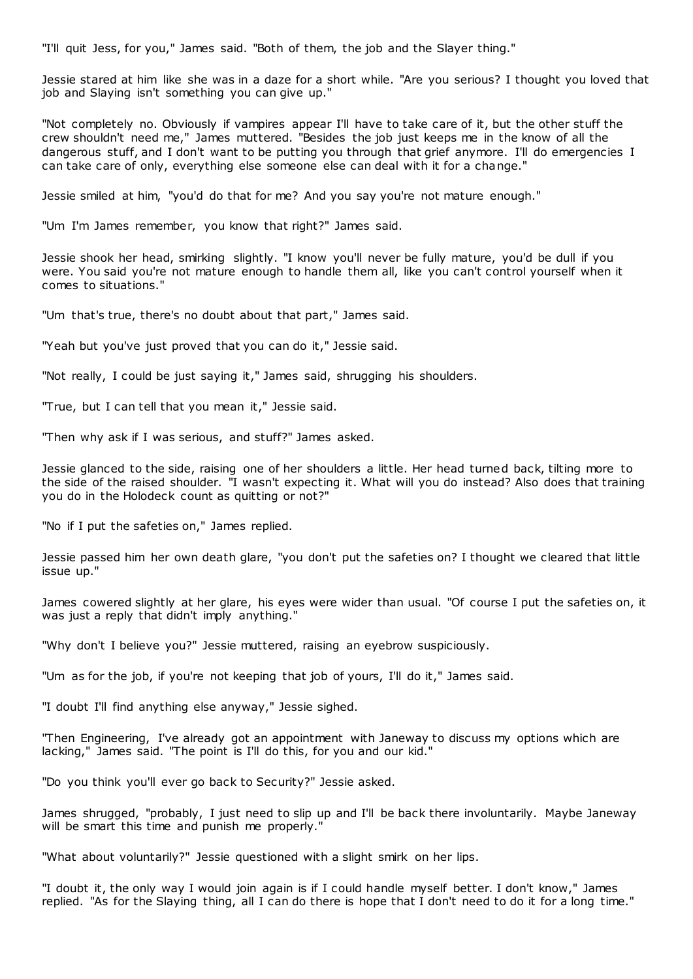"I'll quit Jess, for you," James said. "Both of them, the job and the Slayer thing."

Jessie stared at him like she was in a daze for a short while. "Are you serious? I thought you loved that job and Slaying isn't something you can give up."

"Not completely no. Obviously if vampires appear I'll have to take care of it, but the other stuff the crew shouldn't need me," James muttered. "Besides the job just keeps me in the know of all the dangerous stuff, and I don't want to be putting you through that grief anymore. I'll do emergencies I can take care of only, everything else someone else can deal with it for a change."

Jessie smiled at him, "you'd do that for me? And you say you're not mature enough."

"Um I'm James remember, you know that right?" James said.

Jessie shook her head, smirking slightly. "I know you'll never be fully mature, you'd be dull if you were. You said you're not mature enough to handle them all, like you can't control yourself when it comes to situations."

"Um that's true, there's no doubt about that part," James said.

"Yeah but you've just proved that you can do it," Jessie said.

"Not really, I could be just saying it," James said, shrugging his shoulders.

"True, but I can tell that you mean it," Jessie said.

"Then why ask if I was serious, and stuff?" James asked.

Jessie glanced to the side, raising one of her shoulders a little. Her head turned back, tilting more to the side of the raised shoulder. "I wasn't expecting it. What will you do instead? Also does that training you do in the Holodeck count as quitting or not?"

"No if I put the safeties on," James replied.

Jessie passed him her own death glare, "you don't put the safeties on? I thought we cleared that little issue up."

James cowered slightly at her glare, his eyes were wider than usual. "Of course I put the safeties on, it was just a reply that didn't imply anything."

"Why don't I believe you?" Jessie muttered, raising an eyebrow suspiciously.

"Um as for the job, if you're not keeping that job of yours, I'll do it," James said.

"I doubt I'll find anything else anyway," Jessie sighed.

"Then Engineering, I've already got an appointment with Janeway to discuss my options which are lacking," James said. "The point is I'll do this, for you and our kid."

"Do you think you'll ever go back to Security?" Jessie asked.

James shrugged, "probably, I just need to slip up and I'll be back there involuntarily. Maybe Janeway will be smart this time and punish me properly."

"What about voluntarily?" Jessie questioned with a slight smirk on her lips.

"I doubt it, the only way I would join again is if I could handle myself better. I don't know," James replied. "As for the Slaying thing, all I can do there is hope that I don't need to do it for a long time."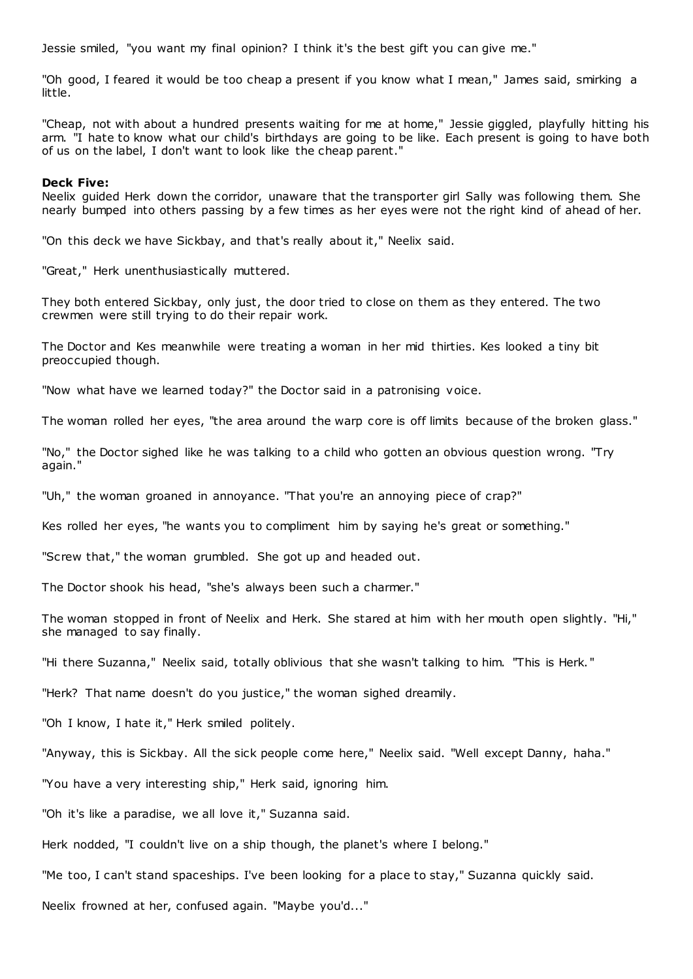Jessie smiled, "you want my final opinion? I think it's the best gift you can give me."

"Oh good, I feared it would be too cheap a present if you know what I mean," James said, smirking a little.

"Cheap, not with about a hundred presents waiting for me at home," Jessie giggled, playfully hitting his arm. "I hate to know what our child's birthdays are going to be like. Each present is going to have both of us on the label, I don't want to look like the cheap parent."

#### **Deck Five:**

Neelix guided Herk down the corridor, unaware that the transporter girl Sally was following them. She nearly bumped into others passing by a few times as her eyes were not the right kind of ahead of her.

"On this deck we have Sickbay, and that's really about it," Neelix said.

"Great," Herk unenthusiastically muttered.

They both entered Sickbay, only just, the door tried to close on them as they entered. The two crewmen were still trying to do their repair work.

The Doctor and Kes meanwhile were treating a woman in her mid thirties. Kes looked a tiny bit preoccupied though.

"Now what have we learned today?" the Doctor said in a patronising voice.

The woman rolled her eyes, "the area around the warp core is off limits because of the broken glass."

"No," the Doctor sighed like he was talking to a child who gotten an obvious question wrong. "Try again."

"Uh," the woman groaned in annoyance. "That you're an annoying piece of crap?"

Kes rolled her eyes, "he wants you to compliment him by saying he's great or something."

"Screw that," the woman grumbled. She got up and headed out.

The Doctor shook his head, "she's always been such a charmer."

The woman stopped in front of Neelix and Herk. She stared at him with her mouth open slightly. "Hi," she managed to say finally.

"Hi there Suzanna," Neelix said, totally oblivious that she wasn't talking to him. "This is Herk. "

"Herk? That name doesn't do you justice," the woman sighed dreamily.

"Oh I know, I hate it," Herk smiled politely.

"Anyway, this is Sickbay. All the sick people come here," Neelix said. "Well except Danny, haha."

"You have a very interesting ship," Herk said, ignoring him.

"Oh it's like a paradise, we all love it," Suzanna said.

Herk nodded, "I couldn't live on a ship though, the planet's where I belong."

"Me too, I can't stand spaceships. I've been looking for a place to stay," Suzanna quickly said.

Neelix frowned at her, confused again. "Maybe you'd..."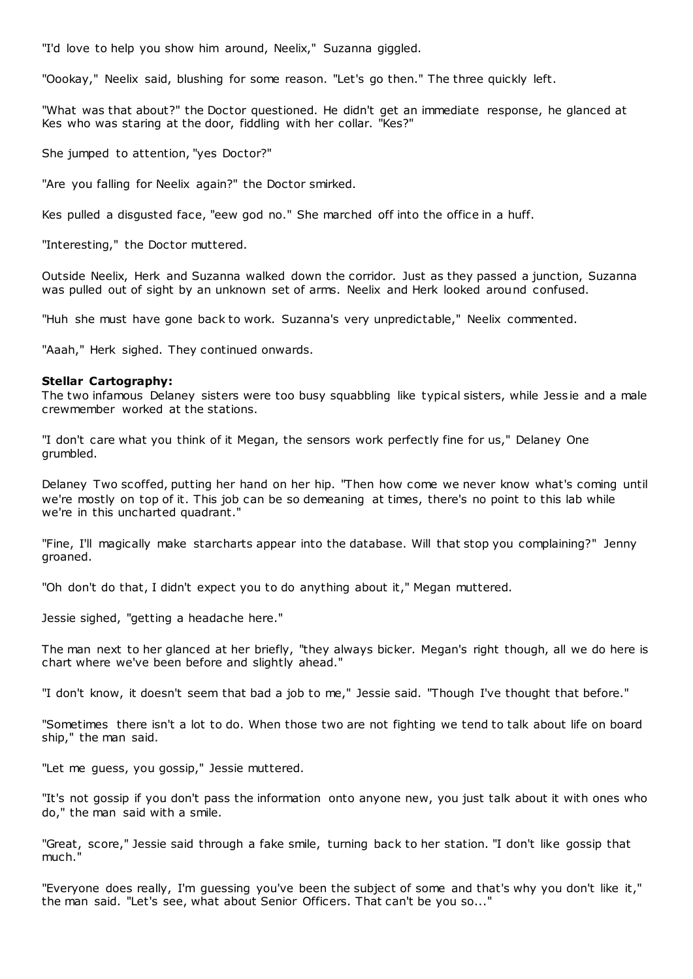"I'd love to help you show him around, Neelix," Suzanna giggled.

"Oookay," Neelix said, blushing for some reason. "Let's go then." The three quickly left.

"What was that about?" the Doctor questioned. He didn't get an immediate response, he glanced at Kes who was staring at the door, fiddling with her collar. "Kes?"

She jumped to attention, "yes Doctor?"

"Are you falling for Neelix again?" the Doctor smirked.

Kes pulled a disgusted face, "eew god no." She marched off into the office in a huff.

"Interesting," the Doctor muttered.

Outside Neelix, Herk and Suzanna walked down the corridor. Just as they passed a junction, Suzanna was pulled out of sight by an unknown set of arms. Neelix and Herk looked around confused.

"Huh she must have gone back to work. Suzanna's very unpredictable," Neelix commented.

"Aaah," Herk sighed. They continued onwards.

#### **Stellar Cartography:**

The two infamous Delaney sisters were too busy squabbling like typical sisters, while Jess ie and a male crewmember worked at the stations.

"I don't care what you think of it Megan, the sensors work perfectly fine for us," Delaney One grumbled.

Delaney Two scoffed, putting her hand on her hip. "Then how come we never know what's coming until we're mostly on top of it. This job can be so demeaning at times, there's no point to this lab while we're in this uncharted quadrant."

"Fine, I'll magically make starcharts appear into the database. Will that stop you complaining?" Jenny groaned.

"Oh don't do that, I didn't expect you to do anything about it," Megan muttered.

Jessie sighed, "getting a headache here."

The man next to her glanced at her briefly, "they always bicker. Megan's right though, all we do here is chart where we've been before and slightly ahead."

"I don't know, it doesn't seem that bad a job to me," Jessie said. "Though I've thought that before."

"Sometimes there isn't a lot to do. When those two are not fighting we tend to talk about life on board ship," the man said.

"Let me guess, you gossip," Jessie muttered.

"It's not gossip if you don't pass the information onto anyone new, you just talk about it with ones who do," the man said with a smile.

"Great, score," Jessie said through a fake smile, turning back to her station. "I don't like gossip that much."

"Everyone does really, I'm guessing you've been the subject of some and that's why you don't like it," the man said. "Let's see, what about Senior Officers. That can't be you so..."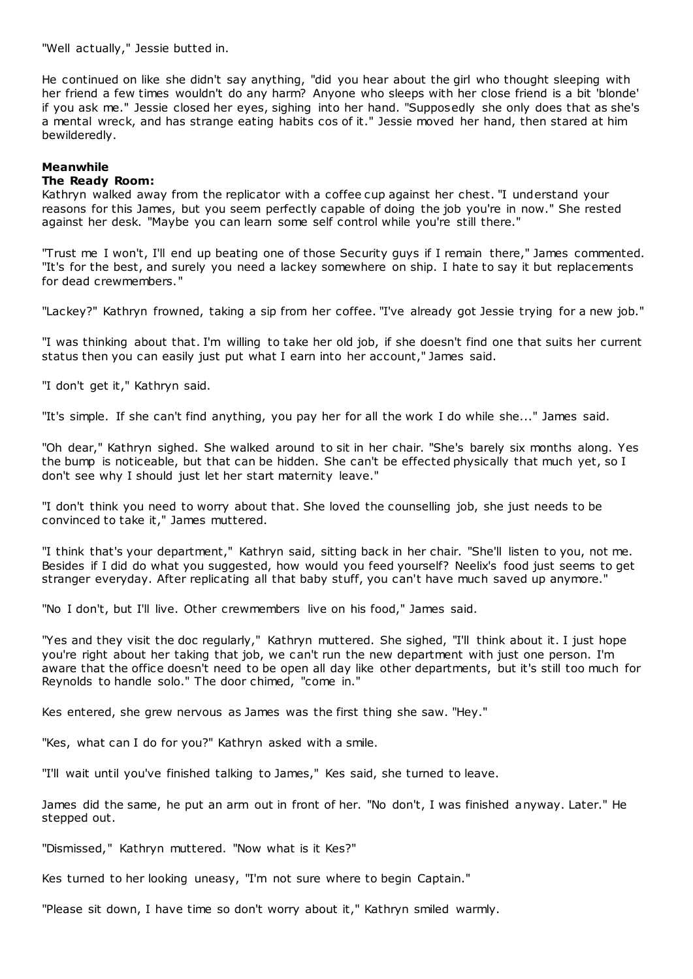"Well actually," Jessie butted in.

He continued on like she didn't say anything, "did you hear about the girl who thought sleeping with her friend a few times wouldn't do any harm? Anyone who sleeps with her close friend is a bit 'blonde' if you ask me." Jessie closed her eyes, sighing into her hand. "Supposedly she only does that as she's a mental wreck, and has strange eating habits cos of it." Jessie moved her hand, then stared at him bewilderedly.

# **Meanwhile**

# **The Ready Room:**

Kathryn walked away from the replicator with a coffee cup against her chest. "I understand your reasons for this James, but you seem perfectly capable of doing the job you're in now." She rested against her desk. "Maybe you can learn some self control while you're still there."

"Trust me I won't, I'll end up beating one of those Security guys if I remain there," James commented. "It's for the best, and surely you need a lackey somewhere on ship. I hate to say it but replacements for dead crewmembers."

"Lackey?" Kathryn frowned, taking a sip from her coffee. "I've already got Jessie trying for a new job."

"I was thinking about that. I'm willing to take her old job, if she doesn't find one that suits her current status then you can easily just put what I earn into her account," James said.

"I don't get it," Kathryn said.

"It's simple. If she can't find anything, you pay her for all the work I do while she..." James said.

"Oh dear," Kathryn sighed. She walked around to sit in her chair. "She's barely six months along. Yes the bump is noticeable, but that can be hidden. She can't be effected physically that much yet, so I don't see why I should just let her start maternity leave."

"I don't think you need to worry about that. She loved the counselling job, she just needs to be convinced to take it," James muttered.

"I think that's your department," Kathryn said, sitting back in her chair. "She'll listen to you, not me. Besides if I did do what you suggested, how would you feed yourself? Neelix's food just seems to get stranger everyday. After replicating all that baby stuff, you can't have much saved up anymore."

"No I don't, but I'll live. Other crewmembers live on his food," James said.

"Yes and they visit the doc regularly," Kathryn muttered. She sighed, "I'll think about it. I just hope you're right about her taking that job, we can't run the new department with just one person. I'm aware that the office doesn't need to be open all day like other departments, but it's still too much for Reynolds to handle solo." The door chimed, "come in."

Kes entered, she grew nervous as James was the first thing she saw. "Hey."

"Kes, what can I do for you?" Kathryn asked with a smile.

"I'll wait until you've finished talking to James," Kes said, she turned to leave.

James did the same, he put an arm out in front of her. "No don't, I was finished anyway. Later." He stepped out.

"Dismissed," Kathryn muttered. "Now what is it Kes?"

Kes turned to her looking uneasy, "I'm not sure where to begin Captain."

"Please sit down, I have time so don't worry about it," Kathryn smiled warmly.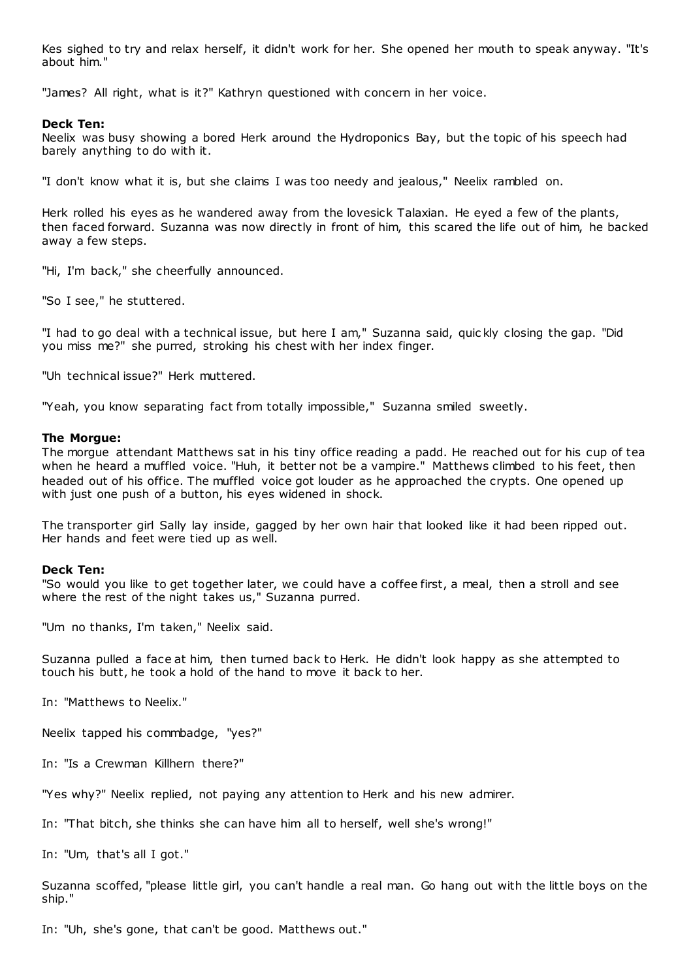Kes sighed to try and relax herself, it didn't work for her. She opened her mouth to speak anyway. "It's about him."

"James? All right, what is it?" Kathryn questioned with concern in her voice.

#### **Deck Ten:**

Neelix was busy showing a bored Herk around the Hydroponics Bay, but the topic of his speech had barely anything to do with it.

"I don't know what it is, but she claims I was too needy and jealous," Neelix rambled on.

Herk rolled his eyes as he wandered away from the lovesick Talaxian. He eyed a few of the plants, then faced forward. Suzanna was now directly in front of him, this scared the life out of him, he backed away a few steps.

"Hi, I'm back," she cheerfully announced.

"So I see," he stuttered.

"I had to go deal with a technical issue, but here I am," Suzanna said, quic kly closing the gap. "Did you miss me?" she purred, stroking his chest with her index finger.

"Uh technical issue?" Herk muttered.

"Yeah, you know separating fact from totally impossible," Suzanna smiled sweetly.

#### **The Morgue:**

The morgue attendant Matthews sat in his tiny office reading a padd. He reached out for his cup of tea when he heard a muffled voice. "Huh, it better not be a vampire." Matthews climbed to his feet, then headed out of his office. The muffled voice got louder as he approached the crypts. One opened up with just one push of a button, his eyes widened in shock.

The transporter girl Sally lay inside, gagged by her own hair that looked like it had been ripped out. Her hands and feet were tied up as well.

#### **Deck Ten:**

"So would you like to get together later, we could have a coffee first, a meal, then a stroll and see where the rest of the night takes us," Suzanna purred.

"Um no thanks, I'm taken," Neelix said.

Suzanna pulled a face at him, then turned back to Herk. He didn't look happy as she attempted to touch his butt, he took a hold of the hand to move it back to her.

In: "Matthews to Neelix."

Neelix tapped his commbadge, "yes?"

In: "Is a Crewman Killhern there?"

"Yes why?" Neelix replied, not paying any attention to Herk and his new admirer.

In: "That bitch, she thinks she can have him all to herself, well she's wrong!"

In: "Um, that's all I got."

Suzanna scoffed, "please little girl, you can't handle a real man. Go hang out with the little boys on the ship."

In: "Uh, she's gone, that can't be good. Matthews out."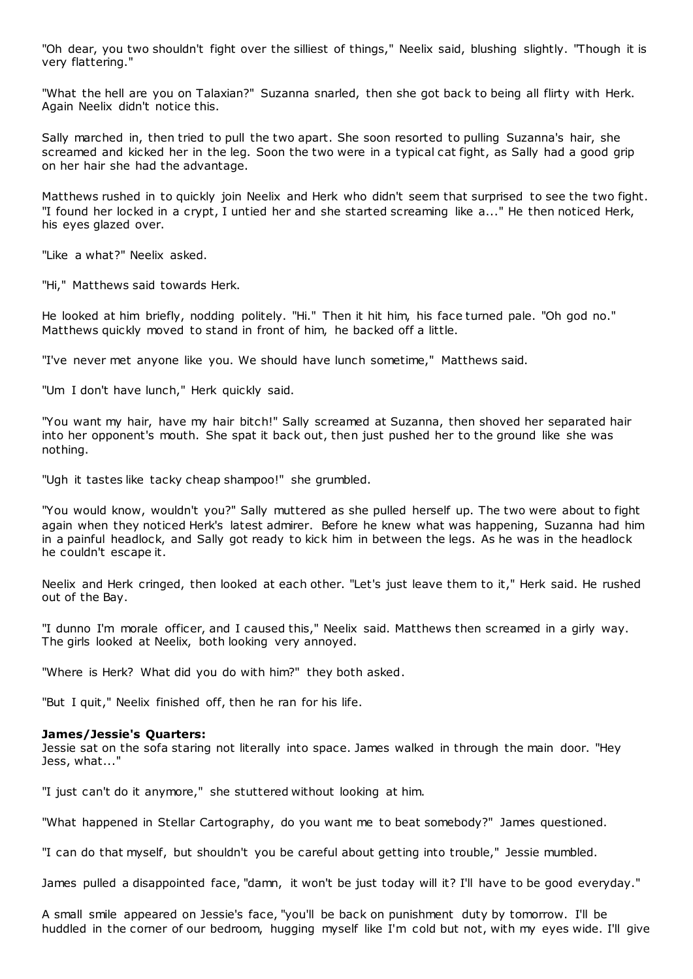"Oh dear, you two shouldn't fight over the silliest of things," Neelix said, blushing slightly. "Though it is very flattering."

"What the hell are you on Talaxian?" Suzanna snarled, then she got back to being all flirty with Herk. Again Neelix didn't notice this.

Sally marched in, then tried to pull the two apart. She soon resorted to pulling Suzanna's hair, she screamed and kicked her in the leg. Soon the two were in a typical cat fight, as Sally had a good grip on her hair she had the advantage.

Matthews rushed in to quickly join Neelix and Herk who didn't seem that surprised to see the two fight. "I found her locked in a crypt, I untied her and she started screaming like a..." He then noticed Herk, his eyes glazed over.

"Like a what?" Neelix asked.

"Hi," Matthews said towards Herk.

He looked at him briefly, nodding politely. "Hi." Then it hit him, his face turned pale. "Oh god no." Matthews quickly moved to stand in front of him, he backed off a little.

"I've never met anyone like you. We should have lunch sometime," Matthews said.

"Um I don't have lunch," Herk quickly said.

"You want my hair, have my hair bitch!" Sally screamed at Suzanna, then shoved her separated hair into her opponent's mouth. She spat it back out, then just pushed her to the ground like she was nothing.

"Ugh it tastes like tacky cheap shampoo!" she grumbled.

"You would know, wouldn't you?" Sally muttered as she pulled herself up. The two were about to fight again when they noticed Herk's latest admirer. Before he knew what was happening, Suzanna had him in a painful headlock, and Sally got ready to kick him in between the legs. As he was in the headlock he couldn't escape it.

Neelix and Herk cringed, then looked at each other. "Let's just leave them to it," Herk said. He rushed out of the Bay.

"I dunno I'm morale officer, and I caused this," Neelix said. Matthews then screamed in a girly way. The girls looked at Neelix, both looking very annoyed.

"Where is Herk? What did you do with him?" they both asked.

"But I quit," Neelix finished off, then he ran for his life.

#### **James/Jessie's Quarters:**

Jessie sat on the sofa staring not literally into space. James walked in through the main door. "Hey Jess, what..."

"I just can't do it anymore," she stuttered without looking at him.

"What happened in Stellar Cartography, do you want me to beat somebody?" James questioned.

"I can do that myself, but shouldn't you be careful about getting into trouble," Jessie mumbled.

James pulled a disappointed face, "damn, it won't be just today will it? I'll have to be good everyday."

A small smile appeared on Jessie's face, "you'll be back on punishment duty by tomorrow. I'll be huddled in the corner of our bedroom, hugging myself like I'm cold but not, with my eyes wide. I'll give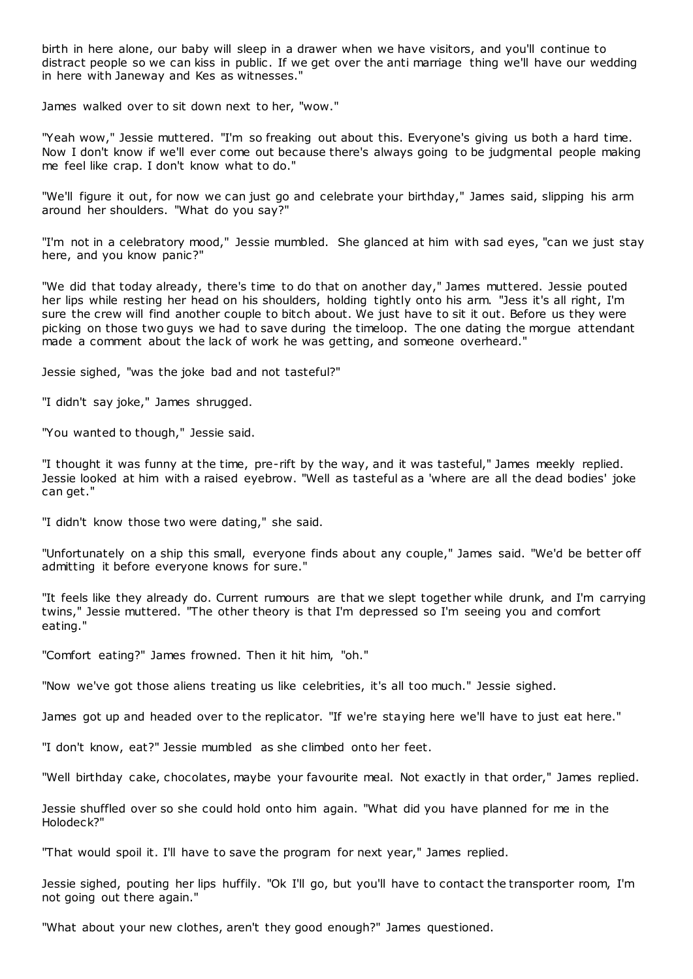birth in here alone, our baby will sleep in a drawer when we have visitors, and you'll continue to distract people so we can kiss in public. If we get over the anti marriage thing we'll have our wedding in here with Janeway and Kes as witnesses."

James walked over to sit down next to her, "wow."

"Yeah wow," Jessie muttered. "I'm so freaking out about this. Everyone's giving us both a hard time. Now I don't know if we'll ever come out because there's always going to be judgmental people making me feel like crap. I don't know what to do."

"We'll figure it out, for now we can just go and celebrate your birthday," James said, slipping his arm around her shoulders. "What do you say?"

"I'm not in a celebratory mood," Jessie mumbled. She glanced at him with sad eyes, "can we just stay here, and you know panic?"

"We did that today already, there's time to do that on another day," James muttered. Jessie pouted her lips while resting her head on his shoulders, holding tightly onto his arm. "Jess it's all right, I'm sure the crew will find another couple to bitch about. We just have to sit it out. Before us they were picking on those two guys we had to save during the timeloop. The one dating the morgue attendant made a comment about the lack of work he was getting, and someone overheard."

Jessie sighed, "was the joke bad and not tasteful?"

"I didn't say joke," James shrugged.

"You wanted to though," Jessie said.

"I thought it was funny at the time, pre-rift by the way, and it was tasteful," James meekly replied. Jessie looked at him with a raised eyebrow. "Well as tasteful as a 'where are all the dead bodies' joke can get."

"I didn't know those two were dating," she said.

"Unfortunately on a ship this small, everyone finds about any couple," James said. "We'd be better off admitting it before everyone knows for sure."

"It feels like they already do. Current rumours are that we slept together while drunk, and I'm carrying twins," Jessie muttered. "The other theory is that I'm depressed so I'm seeing you and comfort eating."

"Comfort eating?" James frowned. Then it hit him, "oh."

"Now we've got those aliens treating us like celebrities, it's all too much." Jessie sighed.

James got up and headed over to the replicator. "If we're staying here we'll have to just eat here."

"I don't know, eat?" Jessie mumbled as she climbed onto her feet.

"Well birthday cake, chocolates, maybe your favourite meal. Not exactly in that order," James replied.

Jessie shuffled over so she could hold onto him again. "What did you have planned for me in the Holodeck?"

"That would spoil it. I'll have to save the program for next year," James replied.

Jessie sighed, pouting her lips huffily. "Ok I'll go, but you'll have to contact the transporter room, I'm not going out there again."

"What about your new clothes, aren't they good enough?" James questioned.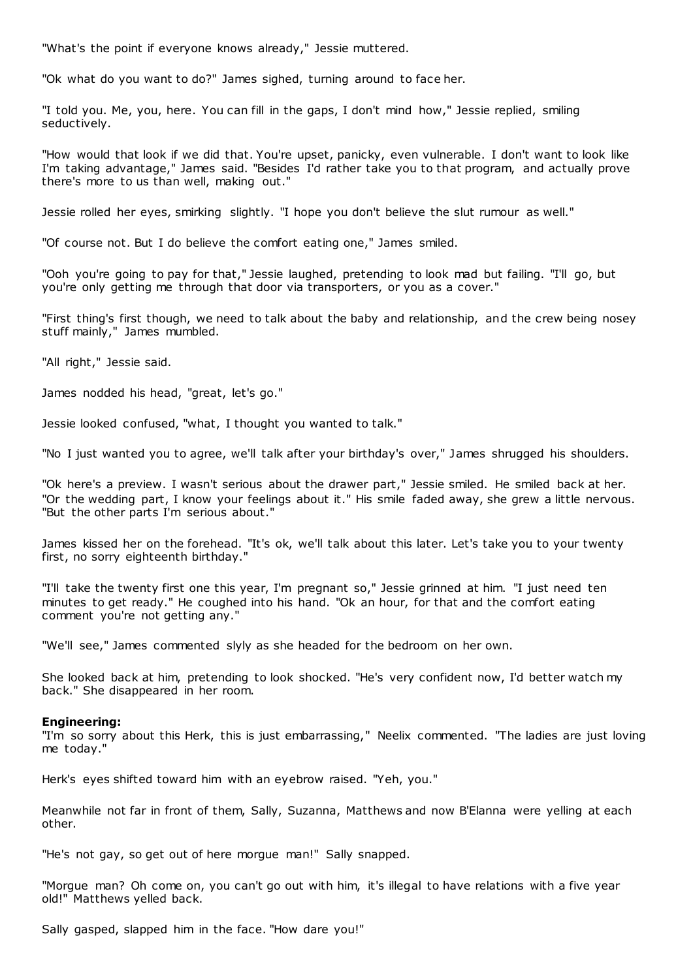"What's the point if everyone knows already," Jessie muttered.

"Ok what do you want to do?" James sighed, turning around to face her.

"I told you. Me, you, here. You can fill in the gaps, I don't mind how," Jessie replied, smiling seductively.

"How would that look if we did that. You're upset, panicky, even vulnerable. I don't want to look like I'm taking advantage," James said. "Besides I'd rather take you to that program, and actually prove there's more to us than well, making out."

Jessie rolled her eyes, smirking slightly. "I hope you don't believe the slut rumour as well."

"Of course not. But I do believe the comfort eating one," James smiled.

"Ooh you're going to pay for that," Jessie laughed, pretending to look mad but failing. "I'll go, but you're only getting me through that door via transporters, or you as a cover."

"First thing's first though, we need to talk about the baby and relationship, and the crew being nosey stuff mainly," James mumbled.

"All right," Jessie said.

James nodded his head, "great, let's go."

Jessie looked confused, "what, I thought you wanted to talk."

"No I just wanted you to agree, we'll talk after your birthday's over," James shrugged his shoulders.

"Ok here's a preview. I wasn't serious about the drawer part," Jessie smiled. He smiled back at her. "Or the wedding part, I know your feelings about it." His smile faded away, she grew a little nervous. "But the other parts I'm serious about."

James kissed her on the forehead. "It's ok, we'll talk about this later. Let's take you to your twenty first, no sorry eighteenth birthday."

"I'll take the twenty first one this year, I'm pregnant so," Jessie grinned at him. "I just need ten minutes to get ready." He coughed into his hand. "Ok an hour, for that and the comfort eating comment you're not getting any."

"We'll see," James commented slyly as she headed for the bedroom on her own.

She looked back at him, pretending to look shocked. "He's very confident now, I'd better watch my back." She disappeared in her room.

#### **Engineering:**

"I'm so sorry about this Herk, this is just embarrassing," Neelix commented. "The ladies are just loving me today."

Herk's eyes shifted toward him with an eyebrow raised. "Yeh, you."

Meanwhile not far in front of them, Sally, Suzanna, Matthews and now B'Elanna were yelling at each other.

"He's not gay, so get out of here morgue man!" Sally snapped.

"Morgue man? Oh come on, you can't go out with him, it's illegal to have relations with a five year old!" Matthews yelled back.

Sally gasped, slapped him in the face. "How dare you!"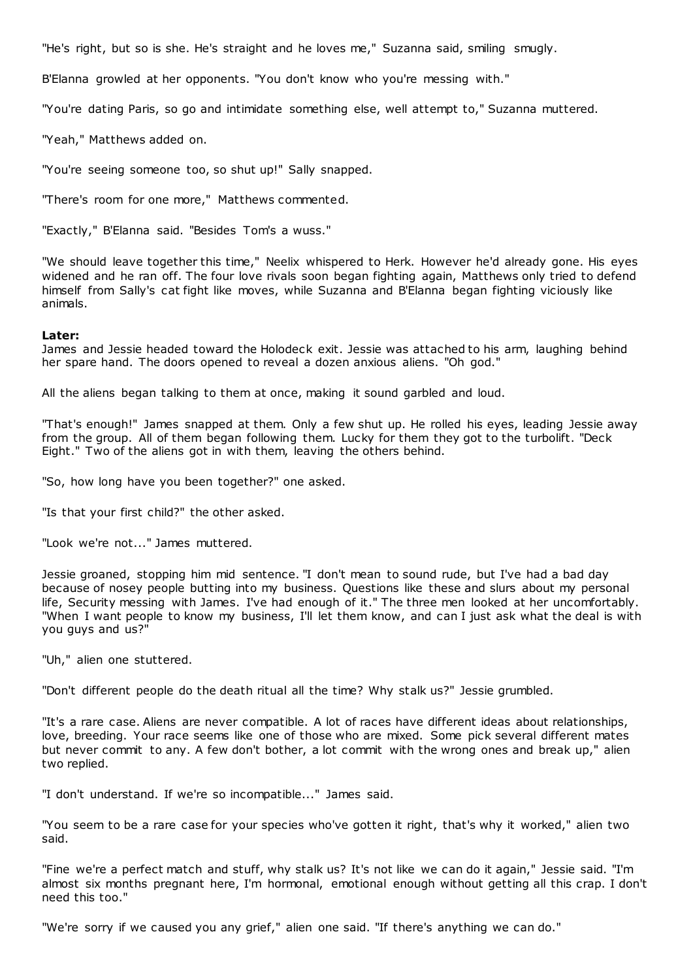"He's right, but so is she. He's straight and he loves me," Suzanna said, smiling smugly.

B'Elanna growled at her opponents. "You don't know who you're messing with."

"You're dating Paris, so go and intimidate something else, well attempt to," Suzanna muttered.

"Yeah," Matthews added on.

"You're seeing someone too, so shut up!" Sally snapped.

"There's room for one more," Matthews commented.

"Exactly," B'Elanna said. "Besides Tom's a wuss."

"We should leave together this time," Neelix whispered to Herk. However he'd already gone. His eyes widened and he ran off. The four love rivals soon began fighting again, Matthews only tried to defend himself from Sally's cat fight like moves, while Suzanna and B'Elanna began fighting viciously like animals.

# **Later:**

James and Jessie headed toward the Holodeck exit. Jessie was attached to his arm, laughing behind her spare hand. The doors opened to reveal a dozen anxious aliens. "Oh god."

All the aliens began talking to them at once, making it sound garbled and loud.

"That's enough!" James snapped at them. Only a few shut up. He rolled his eyes, leading Jessie away from the group. All of them began following them. Lucky for them they got to the turbolift. "Deck Eight." Two of the aliens got in with them, leaving the others behind.

"So, how long have you been together?" one asked.

"Is that your first child?" the other asked.

"Look we're not..." James muttered.

Jessie groaned, stopping him mid sentence. "I don't mean to sound rude, but I've had a bad day because of nosey people butting into my business. Questions like these and slurs about my personal life, Security messing with James. I've had enough of it." The three men looked at her uncomfortably. "When I want people to know my business, I'll let them know, and can I just ask what the deal is with you guys and us?"

"Uh," alien one stuttered.

"Don't different people do the death ritual all the time? Why stalk us?" Jessie grumbled.

"It's a rare case. Aliens are never compatible. A lot of races have different ideas about relationships, love, breeding. Your race seems like one of those who are mixed. Some pick several different mates but never commit to any. A few don't bother, a lot commit with the wrong ones and break up," alien two replied.

"I don't understand. If we're so incompatible..." James said.

"You seem to be a rare case for your species who've gotten it right, that's why it worked," alien two said.

"Fine we're a perfect match and stuff, why stalk us? It's not like we can do it again," Jessie said. "I'm almost six months pregnant here, I'm hormonal, emotional enough without getting all this crap. I don't need this too."

"We're sorry if we caused you any grief," alien one said. "If there's anything we can do."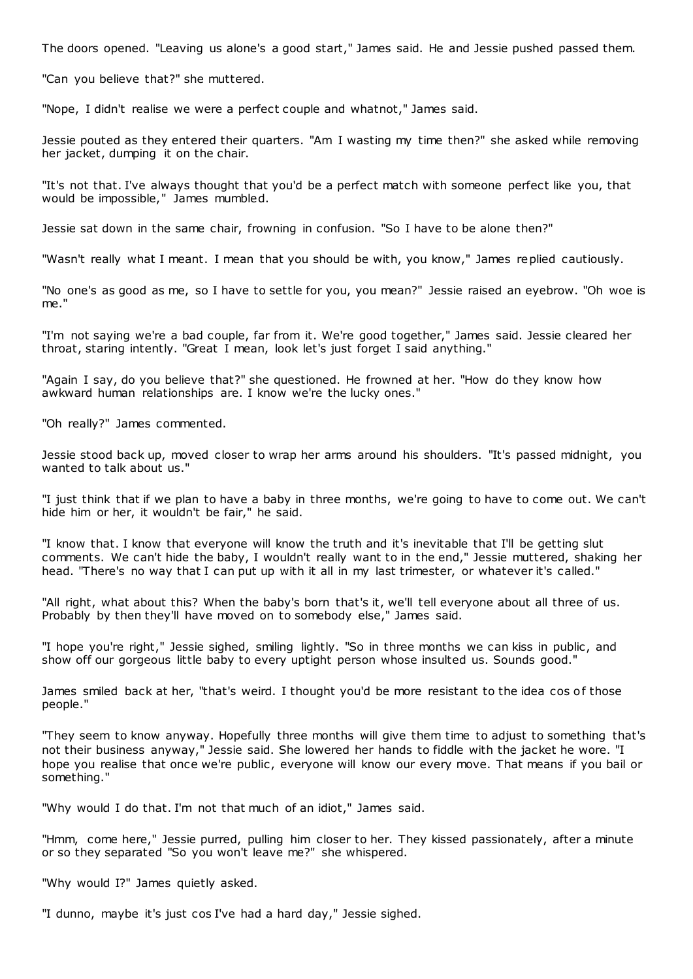The doors opened. "Leaving us alone's a good start," James said. He and Jessie pushed passed them.

"Can you believe that?" she muttered.

"Nope, I didn't realise we were a perfect couple and whatnot," James said.

Jessie pouted as they entered their quarters. "Am I wasting my time then?" she asked while removing her jacket, dumping it on the chair.

"It's not that. I've always thought that you'd be a perfect match with someone perfect like you, that would be impossible," James mumbled.

Jessie sat down in the same chair, frowning in confusion. "So I have to be alone then?"

"Wasn't really what I meant. I mean that you should be with, you know," James replied cautiously.

"No one's as good as me, so I have to settle for you, you mean?" Jessie raised an eyebrow. "Oh woe is me."

"I'm not saying we're a bad couple, far from it. We're good together," James said. Jessie cleared her throat, staring intently. "Great I mean, look let's just forget I said anything."

"Again I say, do you believe that?" she questioned. He frowned at her. "How do they know how awkward human relationships are. I know we're the lucky ones."

"Oh really?" James commented.

Jessie stood back up, moved closer to wrap her arms around his shoulders. "It's passed midnight, you wanted to talk about us."

"I just think that if we plan to have a baby in three months, we're going to have to come out. We can't hide him or her, it wouldn't be fair," he said.

"I know that. I know that everyone will know the truth and it's inevitable that I'll be getting slut comments. We can't hide the baby, I wouldn't really want to in the end," Jessie muttered, shaking her head. "There's no way that I can put up with it all in my last trimester, or whatever it's called."

"All right, what about this? When the baby's born that's it, we'll tell everyone about all three of us. Probably by then they'll have moved on to somebody else," James said.

"I hope you're right," Jessie sighed, smiling lightly. "So in three months we can kiss in public, and show off our gorgeous little baby to every uptight person whose insulted us. Sounds good."

James smiled back at her, "that's weird. I thought you'd be more resistant to the idea cos of those people."

"They seem to know anyway. Hopefully three months will give them time to adjust to something that's not their business anyway," Jessie said. She lowered her hands to fiddle with the jacket he wore. "I hope you realise that once we're public, everyone will know our every move. That means if you bail or something."

"Why would I do that. I'm not that much of an idiot," James said.

"Hmm, come here," Jessie purred, pulling him closer to her. They kissed passionately, after a minute or so they separated "So you won't leave me?" she whispered.

"Why would I?" James quietly asked.

"I dunno, maybe it's just cos I've had a hard day," Jessie sighed.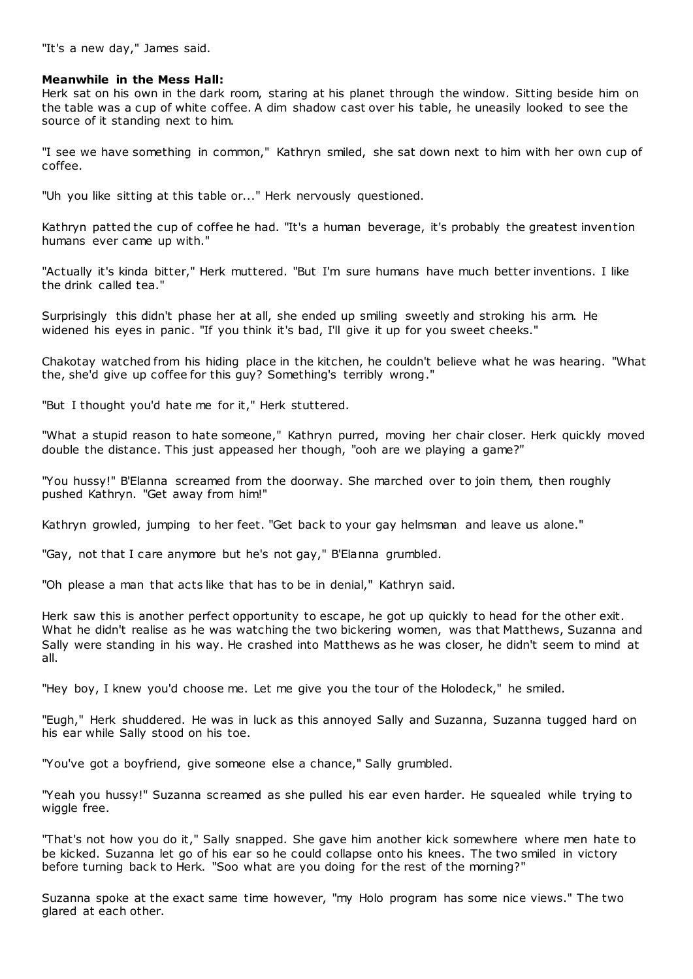"It's a new day," James said.

# **Meanwhile in the Mess Hall:**

Herk sat on his own in the dark room, staring at his planet through the window. Sitting beside him on the table was a cup of white coffee. A dim shadow cast over his table, he uneasily looked to see the source of it standing next to him.

"I see we have something in common," Kathryn smiled, she sat down next to him with her own cup of coffee.

"Uh you like sitting at this table or..." Herk nervously questioned.

Kathryn patted the cup of coffee he had. "It's a human beverage, it's probably the greatest invention humans ever came up with."

"Actually it's kinda bitter," Herk muttered. "But I'm sure humans have much better inventions. I like the drink called tea."

Surprisingly this didn't phase her at all, she ended up smiling sweetly and stroking his arm. He widened his eyes in panic. "If you think it's bad, I'll give it up for you sweet cheeks."

Chakotay watched from his hiding place in the kitchen, he couldn't believe what he was hearing. "What the, she'd give up coffee for this guy? Something's terribly wrong."

"But I thought you'd hate me for it," Herk stuttered.

"What a stupid reason to hate someone," Kathryn purred, moving her chair closer. Herk quickly moved double the distance. This just appeased her though, "ooh are we playing a game?"

"You hussy!" B'Elanna screamed from the doorway. She marched over to join them, then roughly pushed Kathryn. "Get away from him!"

Kathryn growled, jumping to her feet. "Get back to your gay helmsman and leave us alone."

"Gay, not that I care anymore but he's not gay," B'Elanna grumbled.

"Oh please a man that acts like that has to be in denial," Kathryn said.

Herk saw this is another perfect opportunity to escape, he got up quickly to head for the other exit. What he didn't realise as he was watching the two bickering women, was that Matthews, Suzanna and Sally were standing in his way. He crashed into Matthews as he was closer, he didn't seem to mind at all.

"Hey boy, I knew you'd choose me. Let me give you the tour of the Holodeck," he smiled.

"Eugh," Herk shuddered. He was in luck as this annoyed Sally and Suzanna, Suzanna tugged hard on his ear while Sally stood on his toe.

"You've got a boyfriend, give someone else a chance," Sally grumbled.

"Yeah you hussy!" Suzanna screamed as she pulled his ear even harder. He squealed while trying to wiggle free.

"That's not how you do it," Sally snapped. She gave him another kick somewhere where men hate to be kicked. Suzanna let go of his ear so he could collapse onto his knees. The two smiled in victory before turning back to Herk. "Soo what are you doing for the rest of the morning?"

Suzanna spoke at the exact same time however, "my Holo program has some nice views." The two glared at each other.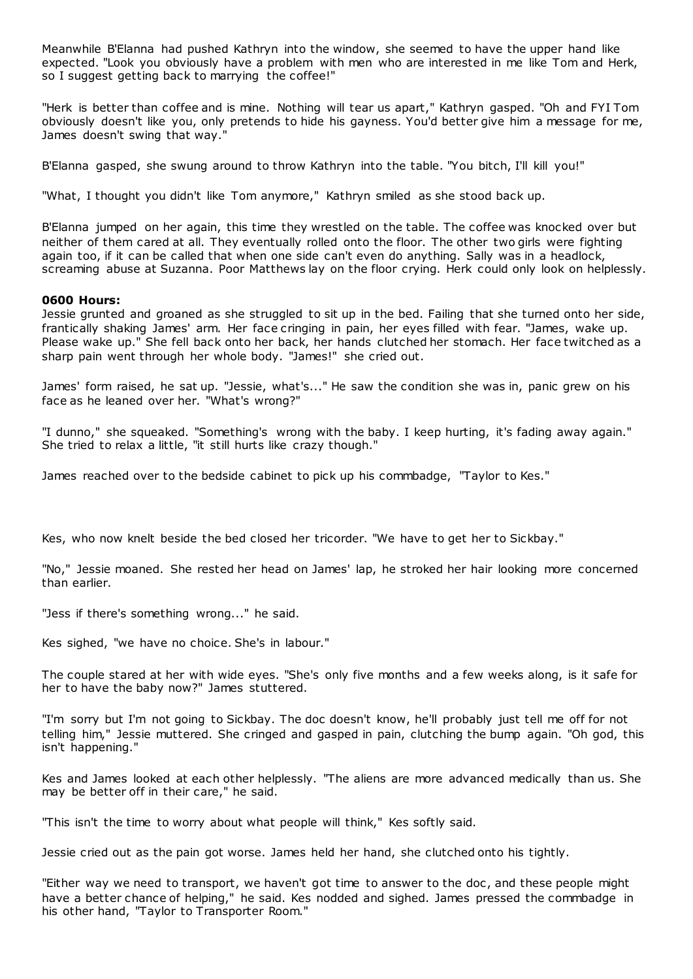Meanwhile B'Elanna had pushed Kathryn into the window, she seemed to have the upper hand like expected. "Look you obviously have a problem with men who are interested in me like Tom and Herk, so I suggest getting back to marrying the coffee!"

"Herk is better than coffee and is mine. Nothing will tear us apart," Kathryn gasped. "Oh and FYI Tom obviously doesn't like you, only pretends to hide his gayness. You'd better give him a message for me, James doesn't swing that way."

B'Elanna gasped, she swung around to throw Kathryn into the table. "You bitch, I'll kill you!"

"What, I thought you didn't like Tom anymore," Kathryn smiled as she stood back up.

B'Elanna jumped on her again, this time they wrestled on the table. The coffee was knocked over but neither of them cared at all. They eventually rolled onto the floor. The other two girls were fighting again too, if it can be called that when one side can't even do anything. Sally was in a headlock, screaming abuse at Suzanna. Poor Matthews lay on the floor crying. Herk could only look on helplessly.

# **0600 Hours:**

Jessie grunted and groaned as she struggled to sit up in the bed. Failing that she turned onto her side, frantically shaking James' arm. Her face cringing in pain, her eyes filled with fear. "James, wake up. Please wake up." She fell back onto her back, her hands clutched her stomach. Her face twitched as a sharp pain went through her whole body. "James!" she cried out.

James' form raised, he sat up. "Jessie, what's..." He saw the condition she was in, panic grew on his face as he leaned over her. "What's wrong?"

"I dunno," she squeaked. "Something's wrong with the baby. I keep hurting, it's fading away again." She tried to relax a little, "it still hurts like crazy though."

James reached over to the bedside cabinet to pick up his commbadge, "Taylor to Kes."

Kes, who now knelt beside the bed closed her tricorder. "We have to get her to Sickbay."

"No," Jessie moaned. She rested her head on James' lap, he stroked her hair looking more concerned than earlier.

"Jess if there's something wrong..." he said.

Kes sighed, "we have no choice. She's in labour."

The couple stared at her with wide eyes. "She's only five months and a few weeks along, is it safe for her to have the baby now?" James stuttered.

"I'm sorry but I'm not going to Sickbay. The doc doesn't know, he'll probably just tell me off for not telling him," Jessie muttered. She cringed and gasped in pain, clutching the bump again. "Oh god, this isn't happening."

Kes and James looked at each other helplessly. "The aliens are more advanced medically than us. She may be better off in their care," he said.

"This isn't the time to worry about what people will think," Kes softly said.

Jessie cried out as the pain got worse. James held her hand, she clutched onto his tightly.

"Either way we need to transport, we haven't got time to answer to the doc, and these people might have a better chance of helping," he said. Kes nodded and sighed. James pressed the commbadge in his other hand, "Taylor to Transporter Room."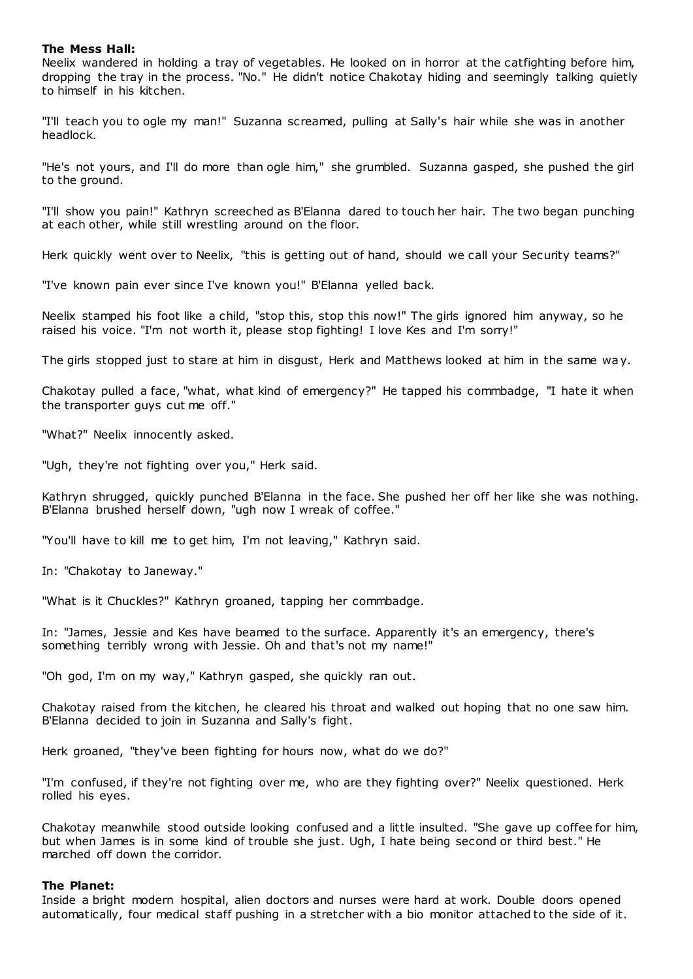# **The Mess Hall:**

Neelix wandered in holding a tray of vegetables. He looked on in horror at the catfighting before him, dropping the tray in the process. "No." He didn't notice Chakotay hiding and seemingly talking quietly to himself in his kitchen.

"I'll teach you to ogle my man!" Suzanna screamed, pulling at Sally's hair while she was in another headlock.

"He's not yours, and I'll do more than ogle him," she grumbled. Suzanna gasped, she pushed the girl to the ground.

"I'll show you pain!" Kathryn screeched as B'Elanna dared to touch her hair. The two began punching at each other, while still wrestling around on the floor.

Herk quickly went over to Neelix, "this is getting out of hand, should we call your Security teams?"

"I've known pain ever since I've known you!" B'Elanna yelled back.

Neelix stamped his foot like a child, "stop this, stop this now!" The girls ignored him anyway, so he raised his voice. "I'm not worth it, please stop fighting! I love Kes and I'm sorry!"

The girls stopped just to stare at him in disgust, Herk and Matthews looked at him in the same way.

Chakotay pulled a face, "what, what kind of emergency?" He tapped his commbadge, "I hate it when the transporter guys cut me off."

"What?" Neelix innocently asked.

"Ugh, they're not fighting over you," Herk said.

Kathryn shrugged, quickly punched B'Elanna in the face. She pushed her off her like she was nothing. B'Elanna brushed herself down, "ugh now I wreak of coffee."

"You'll have to kill me to get him, I'm not leaving," Kathryn said.

In: "Chakotay to Janeway."

"What is it Chuckles?" Kathryn groaned, tapping her commbadge.

In: "James, Jessie and Kes have beamed to the surface. Apparently it's an emergency, there's something terribly wrong with Jessie. Oh and that's not my name!"

"Oh god, I'm on my way," Kathryn gasped, she quickly ran out.

Chakotay raised from the kitchen, he cleared his throat and walked out hoping that no one saw him. B'Elanna decided to join in Suzanna and Sally's fight.

Herk groaned, "they've been fighting for hours now, what do we do?"

"I'm confused, if they're not fighting over me, who are they fighting over?" Neelix questioned. Herk rolled his eyes.

Chakotay meanwhile stood outside looking confused and a little insulted. "She gave up coffee for him, but when James is in some kind of trouble she just. Ugh, I hate being second or third best." He marched off down the corridor.

# **The Planet:**

Inside a bright modern hospital, alien doctors and nurses were hard at work. Double doors opened automatically, four medical staff pushing in a stretcher with a bio monitor attached to the side of it.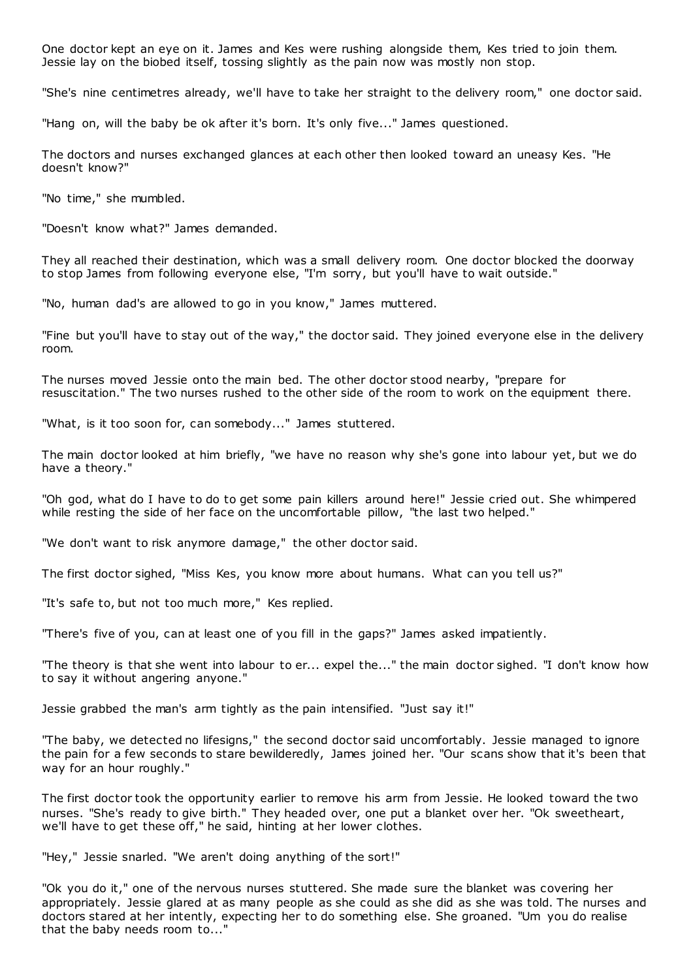One doctor kept an eye on it. James and Kes were rushing alongside them, Kes tried to join them. Jessie lay on the biobed itself, tossing slightly as the pain now was mostly non stop.

"She's nine centimetres already, we'll have to take her straight to the delivery room," one doctor said.

"Hang on, will the baby be ok after it's born. It's only five..." James questioned.

The doctors and nurses exchanged glances at each other then looked toward an uneasy Kes. "He doesn't know?"

"No time," she mumbled.

"Doesn't know what?" James demanded.

They all reached their destination, which was a small delivery room. One doctor blocked the doorway to stop James from following everyone else, "I'm sorry, but you'll have to wait outside."

"No, human dad's are allowed to go in you know," James muttered.

"Fine but you'll have to stay out of the way," the doctor said. They joined everyone else in the delivery room.

The nurses moved Jessie onto the main bed. The other doctor stood nearby, "prepare for resuscitation." The two nurses rushed to the other side of the room to work on the equipment there.

"What, is it too soon for, can somebody..." James stuttered.

The main doctor looked at him briefly, "we have no reason why she's gone into labour yet, but we do have a theory."

"Oh god, what do I have to do to get some pain killers around here!" Jessie cried out. She whimpered while resting the side of her face on the uncomfortable pillow, "the last two helped."

"We don't want to risk anymore damage," the other doctor said.

The first doctor sighed, "Miss Kes, you know more about humans. What can you tell us?"

"It's safe to, but not too much more," Kes replied.

"There's five of you, can at least one of you fill in the gaps?" James asked impatiently.

"The theory is that she went into labour to er... expel the..." the main doctor sighed. "I don't know how to say it without angering anyone."

Jessie grabbed the man's arm tightly as the pain intensified. "Just say it!"

"The baby, we detected no lifesigns," the second doctor said uncomfortably. Jessie managed to ignore the pain for a few seconds to stare bewilderedly, James joined her. "Our scans show that it's been that way for an hour roughly."

The first doctor took the opportunity earlier to remove his arm from Jessie. He looked toward the two nurses. "She's ready to give birth." They headed over, one put a blanket over her. "Ok sweetheart, we'll have to get these off," he said, hinting at her lower clothes.

"Hey," Jessie snarled. "We aren't doing anything of the sort!"

"Ok you do it," one of the nervous nurses stuttered. She made sure the blanket was covering her appropriately. Jessie glared at as many people as she could as she did as she was told. The nurses and doctors stared at her intently, expecting her to do something else. She groaned. "Um you do realise that the baby needs room to..."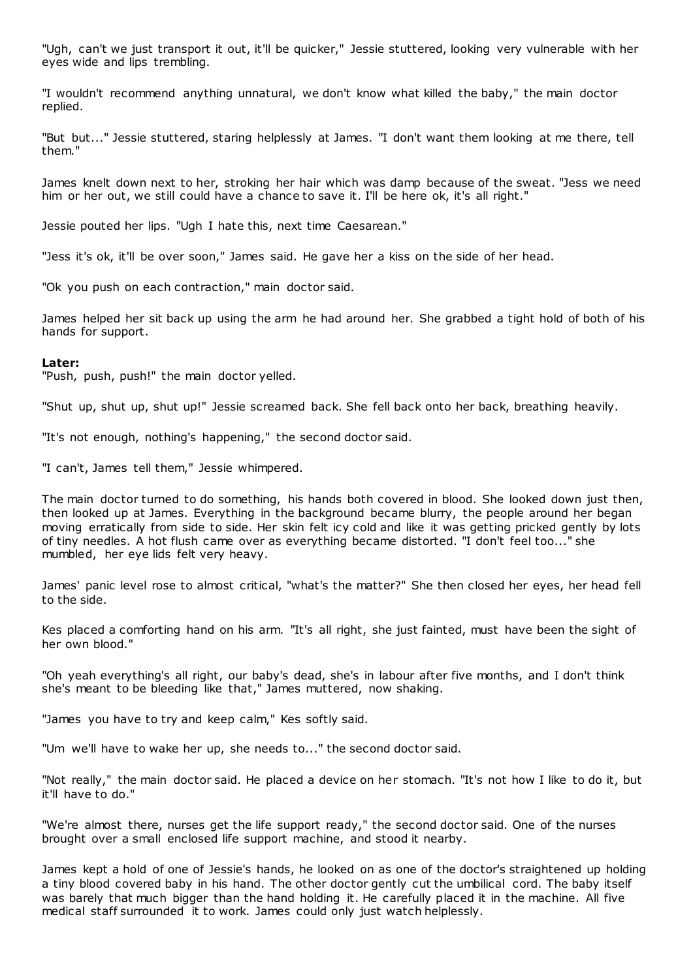"Ugh, can't we just transport it out, it'll be quicker," Jessie stuttered, looking very vulnerable with her eyes wide and lips trembling.

"I wouldn't recommend anything unnatural, we don't know what killed the baby," the main doctor replied.

"But but..." Jessie stuttered, staring helplessly at James. "I don't want them looking at me there, tell them."

James knelt down next to her, stroking her hair which was damp because of the sweat. "Jess we need him or her out, we still could have a chance to save it. I'll be here ok, it's all right."

Jessie pouted her lips. "Ugh I hate this, next time Caesarean."

"Jess it's ok, it'll be over soon," James said. He gave her a kiss on the side of her head.

"Ok you push on each contraction," main doctor said.

James helped her sit back up using the arm he had around her. She grabbed a tight hold of both of his hands for support.

#### **Later:**

"Push, push, push!" the main doctor yelled.

"Shut up, shut up, shut up!" Jessie screamed back. She fell back onto her back, breathing heavily.

"It's not enough, nothing's happening," the second doctor said.

"I can't, James tell them," Jessie whimpered.

The main doctor turned to do something, his hands both covered in blood. She looked down just then, then looked up at James. Everything in the background became blurry, the people around her began moving erratically from side to side. Her skin felt icy cold and like it was getting pricked gently by lots of tiny needles. A hot flush came over as everything became distorted. "I don't feel too..." she mumbled, her eye lids felt very heavy.

James' panic level rose to almost critical, "what's the matter?" She then closed her eyes, her head fell to the side.

Kes placed a comforting hand on his arm. "It's all right, she just fainted, must have been the sight of her own blood."

"Oh yeah everything's all right, our baby's dead, she's in labour after five months, and I don't think she's meant to be bleeding like that," James muttered, now shaking.

"James you have to try and keep calm," Kes softly said.

"Um we'll have to wake her up, she needs to..." the second doctor said.

"Not really," the main doctor said. He placed a device on her stomach. "It's not how I like to do it, but it'll have to do."

"We're almost there, nurses get the life support ready," the second doctor said. One of the nurses brought over a small enclosed life support machine, and stood it nearby.

James kept a hold of one of Jessie's hands, he looked on as one of the doctor's straightened up holding a tiny blood covered baby in his hand. The other doctor gently cut the umbilical cord. The baby itself was barely that much bigger than the hand holding it. He carefully placed it in the machine. All five medical staff surrounded it to work. James could only just watch helplessly.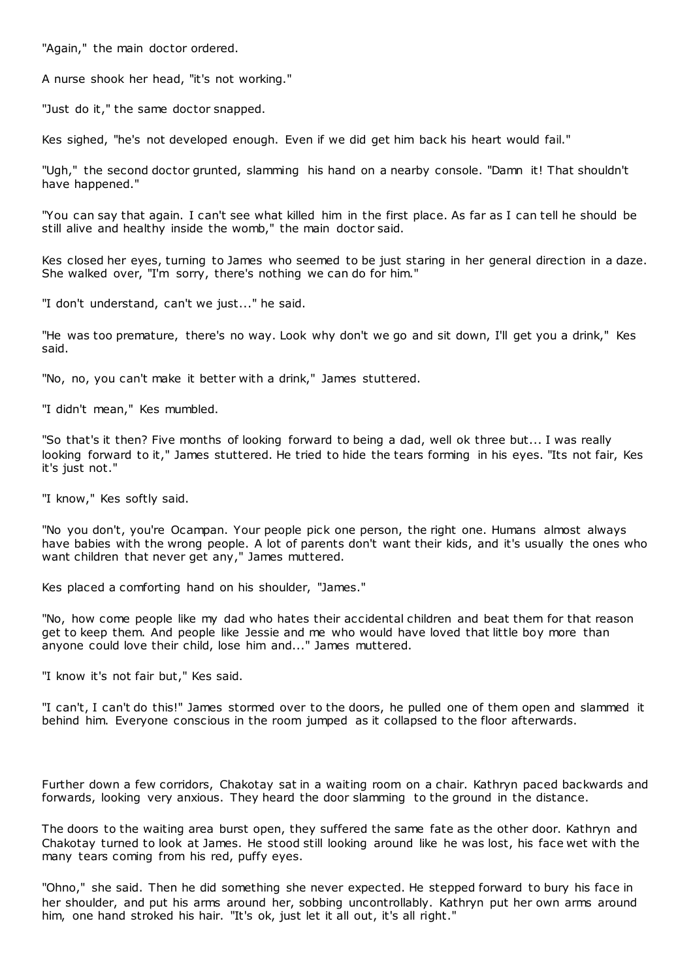"Again," the main doctor ordered.

A nurse shook her head, "it's not working."

"Just do it," the same doctor snapped.

Kes sighed, "he's not developed enough. Even if we did get him back his heart would fail."

"Ugh," the second doctor grunted, slamming his hand on a nearby console. "Damn it! That shouldn't have happened."

"You can say that again. I can't see what killed him in the first place. As far as I can tell he should be still alive and healthy inside the womb," the main doctor said.

Kes closed her eyes, turning to James who seemed to be just staring in her general direction in a daze. She walked over, "I'm sorry, there's nothing we can do for him."

"I don't understand, can't we just..." he said.

"He was too premature, there's no way. Look why don't we go and sit down, I'll get you a drink," Kes said.

"No, no, you can't make it better with a drink," James stuttered.

"I didn't mean," Kes mumbled.

"So that's it then? Five months of looking forward to being a dad, well ok three but... I was really looking forward to it," James stuttered. He tried to hide the tears forming in his eyes. "Its not fair, Kes it's just not."

"I know," Kes softly said.

"No you don't, you're Ocampan. Your people pick one person, the right one. Humans almost always have babies with the wrong people. A lot of parents don't want their kids, and it's usually the ones who want children that never get any," James muttered.

Kes placed a comforting hand on his shoulder, "James."

"No, how come people like my dad who hates their accidental children and beat them for that reason get to keep them. And people like Jessie and me who would have loved that little boy more than anyone could love their child, lose him and..." James muttered.

"I know it's not fair but," Kes said.

"I can't, I can't do this!" James stormed over to the doors, he pulled one of them open and slammed it behind him. Everyone conscious in the room jumped as it collapsed to the floor afterwards.

Further down a few corridors, Chakotay sat in a waiting room on a chair. Kathryn paced backwards and forwards, looking very anxious. They heard the door slamming to the ground in the distance.

The doors to the waiting area burst open, they suffered the same fate as the other door. Kathryn and Chakotay turned to look at James. He stood still looking around like he was lost, his face wet with the many tears coming from his red, puffy eyes.

"Ohno," she said. Then he did something she never expected. He stepped forward to bury his face in her shoulder, and put his arms around her, sobbing uncontrollably. Kathryn put her own arms around him, one hand stroked his hair. "It's ok, just let it all out, it's all right."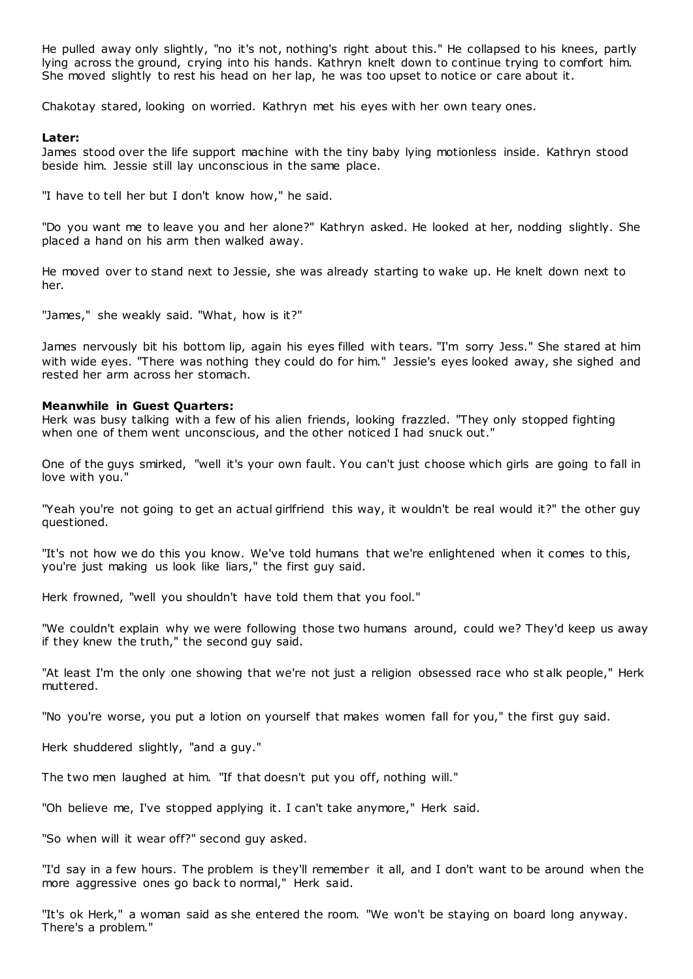He pulled away only slightly, "no it's not, nothing's right about this." He collapsed to his knees, partly lying across the ground, crying into his hands. Kathryn knelt down to continue trying to comfort him. She moved slightly to rest his head on her lap, he was too upset to notice or care about it.

Chakotay stared, looking on worried. Kathryn met his eyes with her own teary ones.

#### **Later:**

James stood over the life support machine with the tiny baby lying motionless inside. Kathryn stood beside him. Jessie still lay unconscious in the same place.

"I have to tell her but I don't know how," he said.

"Do you want me to leave you and her alone?" Kathryn asked. He looked at her, nodding slightly. She placed a hand on his arm then walked away.

He moved over to stand next to Jessie, she was already starting to wake up. He knelt down next to her.

"James," she weakly said. "What, how is it?"

James nervously bit his bottom lip, again his eyes filled with tears. "I'm sorry Jess." She stared at him with wide eyes. "There was nothing they could do for him." Jessie's eyes looked away, she sighed and rested her arm across her stomach.

#### **Meanwhile in Guest Quarters:**

Herk was busy talking with a few of his alien friends, looking frazzled. "They only stopped fighting when one of them went unconscious, and the other noticed I had snuck out."

One of the guys smirked, "well it's your own fault. You can't just choose which girls are going to fall in love with you."

"Yeah you're not going to get an actual girlfriend this way, it wouldn't be real would it?" the other guy questioned.

"It's not how we do this you know. We've told humans that we're enlightened when it comes to this, you're just making us look like liars," the first guy said.

Herk frowned, "well you shouldn't have told them that you fool."

"We couldn't explain why we were following those two humans around, could we? They'd keep us away if they knew the truth," the second guy said.

"At least I'm the only one showing that we're not just a religion obsessed race who st alk people," Herk muttered.

"No you're worse, you put a lotion on yourself that makes women fall for you," the first guy said.

Herk shuddered slightly, "and a guy."

The two men laughed at him. "If that doesn't put you off, nothing will."

"Oh believe me, I've stopped applying it. I can't take anymore," Herk said.

"So when will it wear off?" second guy asked.

"I'd say in a few hours. The problem is they'll remember it all, and I don't want to be around when the more aggressive ones go back to normal," Herk said.

"It's ok Herk," a woman said as she entered the room. "We won't be staying on board long anyway. There's a problem."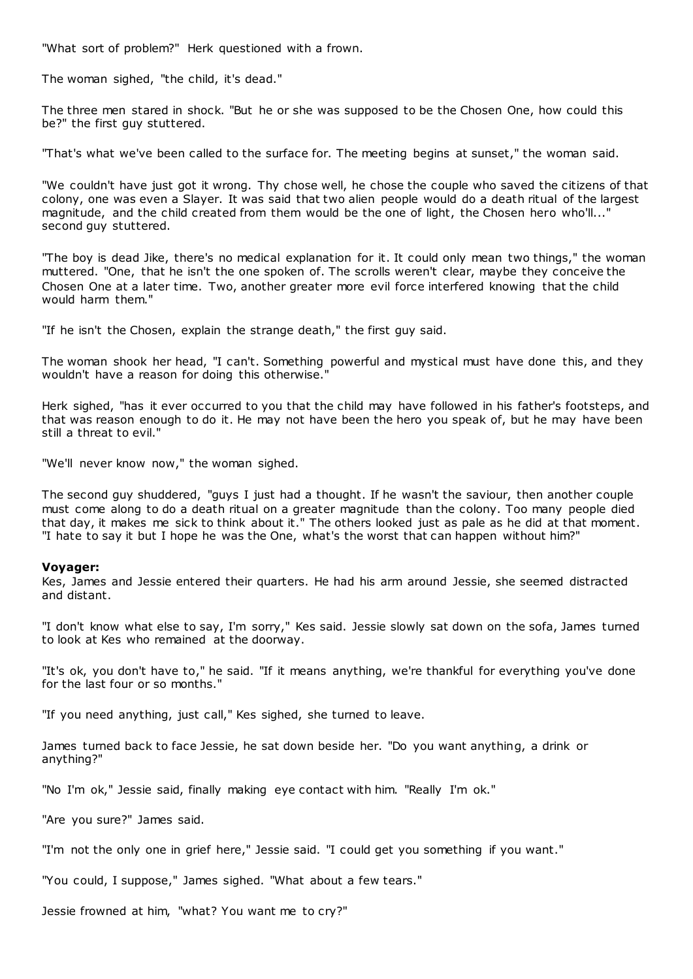"What sort of problem?" Herk questioned with a frown.

The woman sighed, "the child, it's dead."

The three men stared in shock. "But he or she was supposed to be the Chosen One, how could this be?" the first guy stuttered.

"That's what we've been called to the surface for. The meeting begins at sunset," the woman said.

"We couldn't have just got it wrong. Thy chose well, he chose the couple who saved the citizens of that colony, one was even a Slayer. It was said that two alien people would do a death ritual of the largest magnitude, and the child created from them would be the one of light, the Chosen hero who'll..." second guy stuttered.

"The boy is dead Jike, there's no medical explanation for it. It could only mean two things," the woman muttered. "One, that he isn't the one spoken of. The scrolls weren't clear, maybe they conceive the Chosen One at a later time. Two, another greater more evil force interfered knowing that the child would harm them."

"If he isn't the Chosen, explain the strange death," the first guy said.

The woman shook her head, "I can't. Something powerful and mystical must have done this, and they wouldn't have a reason for doing this otherwise."

Herk sighed, "has it ever occurred to you that the child may have followed in his father's footsteps, and that was reason enough to do it. He may not have been the hero you speak of, but he may have been still a threat to evil."

"We'll never know now," the woman sighed.

The second guy shuddered, "guys I just had a thought. If he wasn't the saviour, then another couple must come along to do a death ritual on a greater magnitude than the colony. Too many people died that day, it makes me sick to think about it." The others looked just as pale as he did at that moment. "I hate to say it but I hope he was the One, what's the worst that can happen without him?"

#### **Voyager:**

Kes, James and Jessie entered their quarters. He had his arm around Jessie, she seemed distracted and distant.

"I don't know what else to say, I'm sorry," Kes said. Jessie slowly sat down on the sofa, James turned to look at Kes who remained at the doorway.

"It's ok, you don't have to," he said. "If it means anything, we're thankful for everything you've done for the last four or so months."

"If you need anything, just call," Kes sighed, she turned to leave.

James turned back to face Jessie, he sat down beside her. "Do you want anything, a drink or anything?"

"No I'm ok," Jessie said, finally making eye contact with him. "Really I'm ok."

"Are you sure?" James said.

"I'm not the only one in grief here," Jessie said. "I could get you something if you want."

"You could, I suppose," James sighed. "What about a few tears."

Jessie frowned at him, "what? You want me to cry?"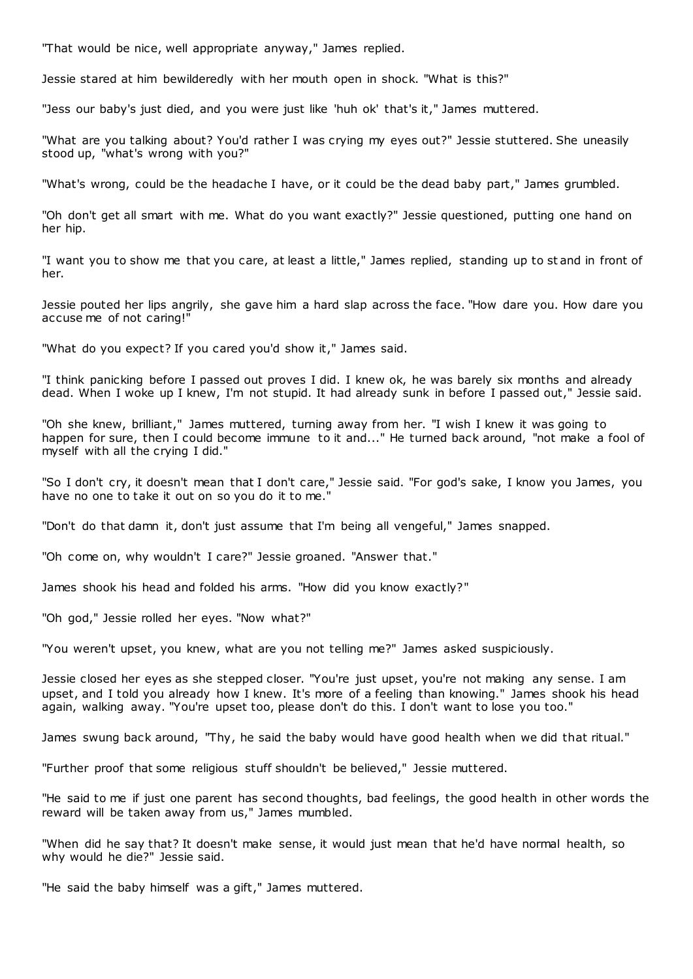"That would be nice, well appropriate anyway," James replied.

Jessie stared at him bewilderedly with her mouth open in shock. "What is this?"

"Jess our baby's just died, and you were just like 'huh ok' that's it," James muttered.

"What are you talking about? You'd rather I was crying my eyes out?" Jessie stuttered. She uneasily stood up, "what's wrong with you?"

"What's wrong, could be the headache I have, or it could be the dead baby part," James grumbled.

"Oh don't get all smart with me. What do you want exactly?" Jessie questioned, putting one hand on her hip.

"I want you to show me that you care, at least a little," James replied, standing up to st and in front of her.

Jessie pouted her lips angrily, she gave him a hard slap across the face. "How dare you. How dare you accuse me of not caring!"

"What do you expect? If you cared you'd show it," James said.

"I think panicking before I passed out proves I did. I knew ok, he was barely six months and already dead. When I woke up I knew, I'm not stupid. It had already sunk in before I passed out," Jessie said.

"Oh she knew, brilliant," James muttered, turning away from her. "I wish I knew it was going to happen for sure, then I could become immune to it and..." He turned back around, "not make a fool of myself with all the crying I did."

"So I don't cry, it doesn't mean that I don't care," Jessie said. "For god's sake, I know you James, you have no one to take it out on so you do it to me."

"Don't do that damn it, don't just assume that I'm being all vengeful," James snapped.

"Oh come on, why wouldn't I care?" Jessie groaned. "Answer that."

James shook his head and folded his arms. "How did you know exactly?"

"Oh god," Jessie rolled her eyes. "Now what?"

"You weren't upset, you knew, what are you not telling me?" James asked suspiciously.

Jessie closed her eyes as she stepped closer. "You're just upset, you're not making any sense. I am upset, and I told you already how I knew. It's more of a feeling than knowing." James shook his head again, walking away. "You're upset too, please don't do this. I don't want to lose you too."

James swung back around, "Thy, he said the baby would have good health when we did that ritual."

"Further proof that some religious stuff shouldn't be believed," Jessie muttered.

"He said to me if just one parent has second thoughts, bad feelings, the good health in other words the reward will be taken away from us," James mumbled.

"When did he say that? It doesn't make sense, it would just mean that he'd have normal health, so why would he die?" Jessie said.

"He said the baby himself was a gift," James muttered.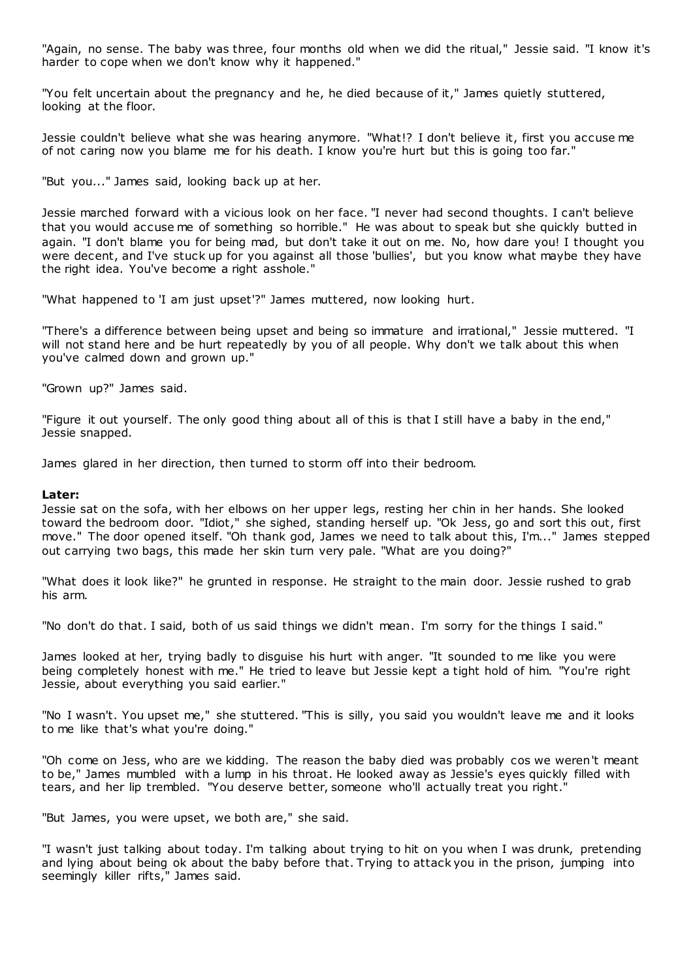"Again, no sense. The baby was three, four months old when we did the ritual," Jessie said. "I know it's harder to cope when we don't know why it happened."

"You felt uncertain about the pregnancy and he, he died because of it," James quietly stuttered, looking at the floor.

Jessie couldn't believe what she was hearing anymore. "What!? I don't believe it, first you accuse me of not caring now you blame me for his death. I know you're hurt but this is going too far."

"But you..." James said, looking back up at her.

Jessie marched forward with a vicious look on her face. "I never had second thoughts. I can't believe that you would accuse me of something so horrible." He was about to speak but she quickly butted in again. "I don't blame you for being mad, but don't take it out on me. No, how dare you! I thought you were decent, and I've stuck up for you against all those 'bullies', but you know what maybe they have the right idea. You've become a right asshole."

"What happened to 'I am just upset'?" James muttered, now looking hurt.

"There's a difference between being upset and being so immature and irrational," Jessie muttered. "I will not stand here and be hurt repeatedly by you of all people. Why don't we talk about this when you've calmed down and grown up."

"Grown up?" James said.

"Figure it out yourself. The only good thing about all of this is that I still have a baby in the end," Jessie snapped.

James glared in her direction, then turned to storm off into their bedroom.

#### **Later:**

Jessie sat on the sofa, with her elbows on her upper legs, resting her chin in her hands. She looked toward the bedroom door. "Idiot," she sighed, standing herself up. "Ok Jess, go and sort this out, first move." The door opened itself. "Oh thank god, James we need to talk about this, I'm..." James stepped out carrying two bags, this made her skin turn very pale. "What are you doing?"

"What does it look like?" he grunted in response. He straight to the main door. Jessie rushed to grab his arm.

"No don't do that. I said, both of us said things we didn't mean. I'm sorry for the things I said."

James looked at her, trying badly to disguise his hurt with anger. "It sounded to me like you were being completely honest with me." He tried to leave but Jessie kept a tight hold of him. "You're right Jessie, about everything you said earlier."

"No I wasn't. You upset me," she stuttered. "This is silly, you said you wouldn't leave me and it looks to me like that's what you're doing."

"Oh come on Jess, who are we kidding. The reason the baby died was probably cos we weren't meant to be," James mumbled with a lump in his throat. He looked away as Jessie's eyes quickly filled with tears, and her lip trembled. "You deserve better, someone who'll actually treat you right."

"But James, you were upset, we both are," she said.

"I wasn't just talking about today. I'm talking about trying to hit on you when I was drunk, pretending and lying about being ok about the baby before that. Trying to attack you in the prison, jumping into seemingly killer rifts," James said.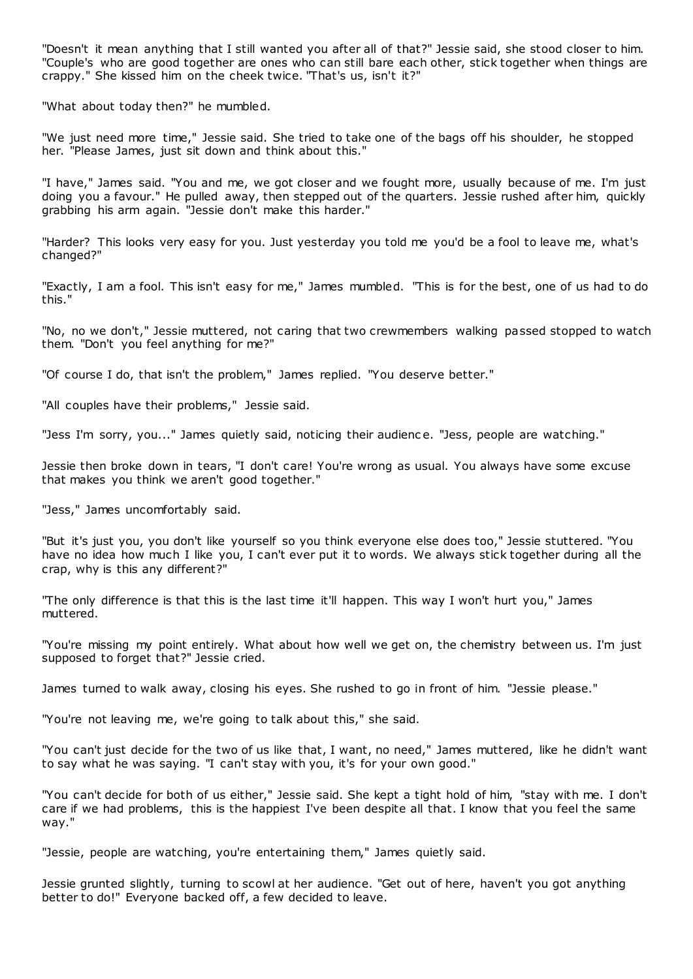"Doesn't it mean anything that I still wanted you after all of that?" Jessie said, she stood closer to him. "Couple's who are good together are ones who can still bare each other, stick together when things are crappy." She kissed him on the cheek twice. "That's us, isn't it?"

"What about today then?" he mumbled.

"We just need more time," Jessie said. She tried to take one of the bags off his shoulder, he stopped her. "Please James, just sit down and think about this."

"I have," James said. "You and me, we got closer and we fought more, usually because of me. I'm just doing you a favour." He pulled away, then stepped out of the quarters. Jessie rushed after him, quickly grabbing his arm again. "Jessie don't make this harder."

"Harder? This looks very easy for you. Just yesterday you told me you'd be a fool to leave me, what's changed?"

"Exactly, I am a fool. This isn't easy for me," James mumbled. "This is for the best, one of us had to do this."

"No, no we don't," Jessie muttered, not caring that two crewmembers walking passed stopped to watch them. "Don't you feel anything for me?"

"Of course I do, that isn't the problem," James replied. "You deserve better."

"All couples have their problems," Jessie said.

"Jess I'm sorry, you..." James quietly said, noticing their audienc e. "Jess, people are watching."

Jessie then broke down in tears, "I don't care! You're wrong as usual. You always have some excuse that makes you think we aren't good together."

"Jess," James uncomfortably said.

"But it's just you, you don't like yourself so you think everyone else does too," Jessie stuttered. "You have no idea how much I like you, I can't ever put it to words. We always stick together during all the crap, why is this any different?"

"The only difference is that this is the last time it'll happen. This way I won't hurt you," James muttered.

"You're missing my point entirely. What about how well we get on, the chemistry between us. I'm just supposed to forget that?" Jessie cried.

James turned to walk away, closing his eyes. She rushed to go in front of him. "Jessie please."

"You're not leaving me, we're going to talk about this," she said.

"You can't just decide for the two of us like that, I want, no need," James muttered, like he didn't want to say what he was saying. "I can't stay with you, it's for your own good."

"You can't decide for both of us either," Jessie said. She kept a tight hold of him, "stay with me. I don't care if we had problems, this is the happiest I've been despite all that. I know that you feel the same way."

"Jessie, people are watching, you're entertaining them," James quietly said.

Jessie grunted slightly, turning to scowl at her audience. "Get out of here, haven't you got anything better to do!" Everyone backed off, a few decided to leave.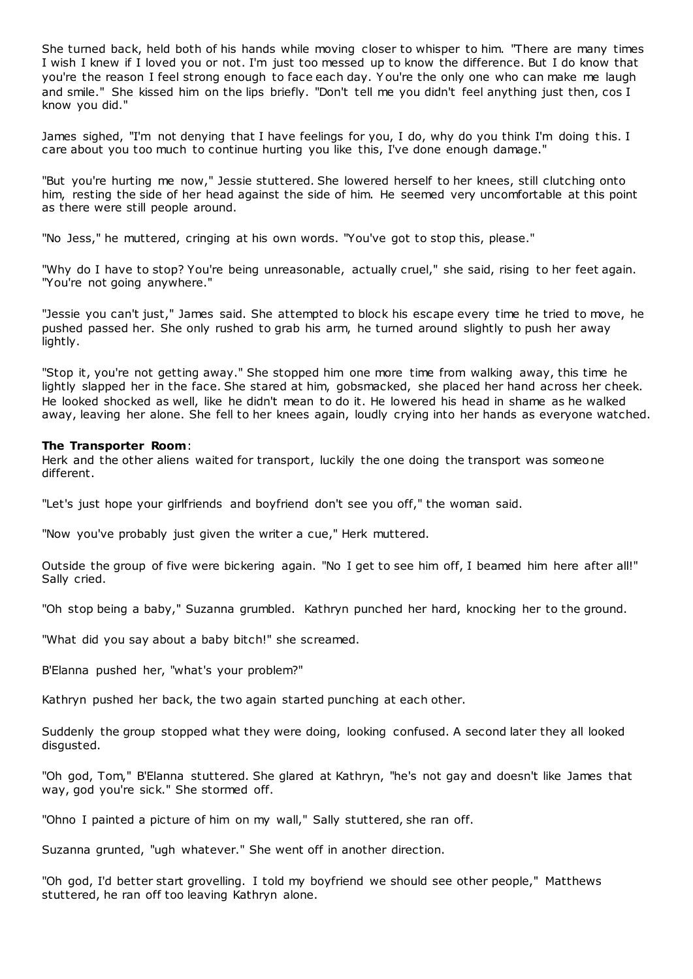She turned back, held both of his hands while moving closer to whisper to him. "There are many times I wish I knew if I loved you or not. I'm just too messed up to know the difference. But I do know that you're the reason I feel strong enough to face each day. Y ou're the only one who can make me laugh and smile." She kissed him on the lips briefly. "Don't tell me you didn't feel anything just then, cos I know you did."

James sighed, "I'm not denying that I have feelings for you, I do, why do you think I'm doing t his. I care about you too much to continue hurting you like this, I've done enough damage."

"But you're hurting me now," Jessie stuttered. She lowered herself to her knees, still clutching onto him, resting the side of her head against the side of him. He seemed very uncomfortable at this point as there were still people around.

"No Jess," he muttered, cringing at his own words. "You've got to stop this, please."

"Why do I have to stop? You're being unreasonable, actually cruel," she said, rising to her feet again. "You're not going anywhere."

"Jessie you can't just," James said. She attempted to block his escape every time he tried to move, he pushed passed her. She only rushed to grab his arm, he turned around slightly to push her away lightly.

"Stop it, you're not getting away." She stopped him one more time from walking away, this time he lightly slapped her in the face. She stared at him, gobsmacked, she placed her hand across her cheek. He looked shocked as well, like he didn't mean to do it. He lowered his head in shame as he walked away, leaving her alone. She fell to her knees again, loudly crying into her hands as everyone watched.

# **The Transporter Room**:

Herk and the other aliens waited for transport, luckily the one doing the transport was someone different.

"Let's just hope your girlfriends and boyfriend don't see you off," the woman said.

"Now you've probably just given the writer a cue," Herk muttered.

Outside the group of five were bickering again. "No I get to see him off, I beamed him here after all!" Sally cried.

"Oh stop being a baby," Suzanna grumbled. Kathryn punched her hard, knocking her to the ground.

"What did you say about a baby bitch!" she screamed.

B'Elanna pushed her, "what's your problem?"

Kathryn pushed her back, the two again started punching at each other.

Suddenly the group stopped what they were doing, looking confused. A second later they all looked disgusted.

"Oh god, Tom," B'Elanna stuttered. She glared at Kathryn, "he's not gay and doesn't like James that way, god you're sick." She stormed off.

"Ohno I painted a picture of him on my wall," Sally stuttered, she ran off.

Suzanna grunted, "ugh whatever." She went off in another direction.

"Oh god, I'd better start grovelling. I told my boyfriend we should see other people," Matthews stuttered, he ran off too leaving Kathryn alone.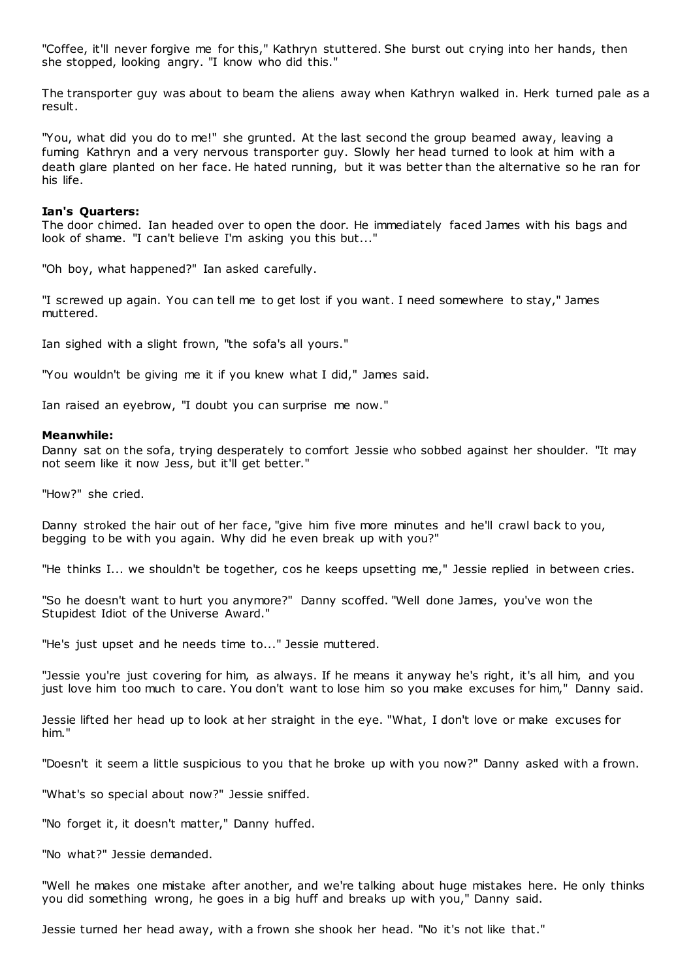"Coffee, it'll never forgive me for this," Kathryn stuttered. She burst out crying into her hands, then she stopped, looking angry. "I know who did this."

The transporter guy was about to beam the aliens away when Kathryn walked in. Herk turned pale as a result.

"You, what did you do to me!" she grunted. At the last second the group beamed away, leaving a fuming Kathryn and a very nervous transporter guy. Slowly her head turned to look at him with a death glare planted on her face. He hated running, but it was better than the alternative so he ran for his life.

#### **Ian's Quarters:**

The door chimed. Ian headed over to open the door. He immediately faced James with his bags and look of shame. "I can't believe I'm asking you this but..."

"Oh boy, what happened?" Ian asked carefully.

"I screwed up again. You can tell me to get lost if you want. I need somewhere to stay," James muttered.

Ian sighed with a slight frown, "the sofa's all yours."

"You wouldn't be giving me it if you knew what I did," James said.

Ian raised an eyebrow, "I doubt you can surprise me now."

#### **Meanwhile:**

Danny sat on the sofa, trying desperately to comfort Jessie who sobbed against her shoulder. "It may not seem like it now Jess, but it'll get better."

"How?" she cried.

Danny stroked the hair out of her face, "give him five more minutes and he'll crawl back to you, begging to be with you again. Why did he even break up with you?"

"He thinks I... we shouldn't be together, cos he keeps upsetting me," Jessie replied in between cries.

"So he doesn't want to hurt you anymore?" Danny scoffed. "Well done James, you've won the Stupidest Idiot of the Universe Award."

"He's just upset and he needs time to..." Jessie muttered.

"Jessie you're just covering for him, as always. If he means it anyway he's right, it's all him, and you just love him too much to care. You don't want to lose him so you make excuses for him," Danny said.

Jessie lifted her head up to look at her straight in the eye. "What, I don't love or make excuses for him."

"Doesn't it seem a little suspicious to you that he broke up with you now?" Danny asked with a frown.

"What's so special about now?" Jessie sniffed.

"No forget it, it doesn't matter," Danny huffed.

"No what?" Jessie demanded.

"Well he makes one mistake after another, and we're talking about huge mistakes here. He only thinks you did something wrong, he goes in a big huff and breaks up with you," Danny said.

Jessie turned her head away, with a frown she shook her head. "No it's not like that."